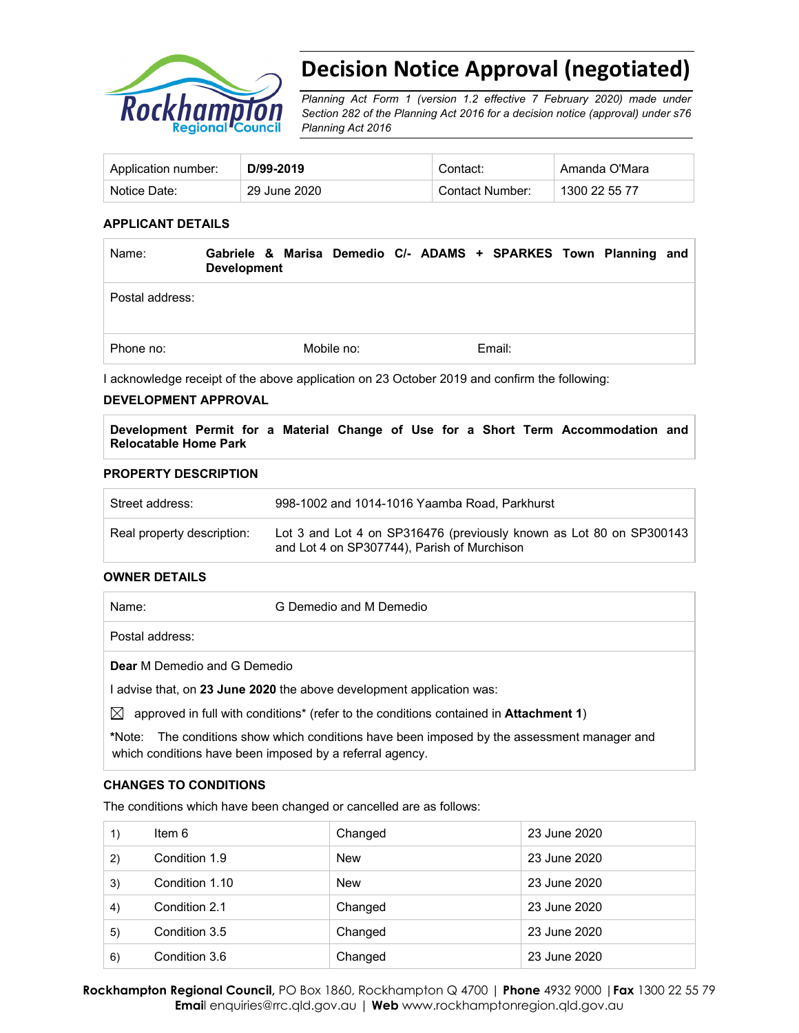

# **Decision Notice Approval (negotiated)**

*Planning Act Form 1 (version 1.2 effective 7 February 2020) made under Section 282 of the Planning Act 2016 for a decision notice (approval) under s76 Planning Act 2016*

| Application number: | D/99-2019    | .:ontact        | Amanda O'Mara |
|---------------------|--------------|-----------------|---------------|
| Notice Date:        | 29 June 2020 | Contact Number: | 1300 22 55 77 |

#### **APPLICANT DETAILS**

| Name:           | Gabriele & Marisa Demedio C/- ADAMS + SPARKES Town Planning and<br><b>Development</b> |            |        |  |  |
|-----------------|---------------------------------------------------------------------------------------|------------|--------|--|--|
| Postal address: |                                                                                       |            |        |  |  |
| Phone no:       |                                                                                       | Mobile no: | Email: |  |  |

I acknowledge receipt of the above application on 23 October 2019 and confirm the following:

#### **DEVELOPMENT APPROVAL**

**Development Permit for a Material Change of Use for a Short Term Accommodation and Relocatable Home Park** 

#### **PROPERTY DESCRIPTION**

| Street address:            | 998-1002 and 1014-1016 Yaamba Road, Parkhurst                                                                      |
|----------------------------|--------------------------------------------------------------------------------------------------------------------|
| Real property description: | Lot 3 and Lot 4 on SP316476 (previously known as Lot 80 on SP300143<br>and Lot 4 on SP307744), Parish of Murchison |

#### **OWNER DETAILS**

| Name:                               | G Demedio and M Demedio                                                                                                                          |
|-------------------------------------|--------------------------------------------------------------------------------------------------------------------------------------------------|
| Postal address:                     |                                                                                                                                                  |
| <b>Dear</b> M Demedio and G Demedio |                                                                                                                                                  |
|                                     | advise that, on 23 June 2020 the above development application was:                                                                              |
| IХI                                 | approved in full with conditions <sup>*</sup> (refer to the conditions contained in <b>Attachment 1</b> )                                        |
| *Note:                              | The conditions show which conditions have been imposed by the assessment manager and<br>which conditions have been imposed by a referral agency. |

#### **CHANGES TO CONDITIONS**

The conditions which have been changed or cancelled are as follows:

| 1) | Item 6         | Changed | 23 June 2020 |
|----|----------------|---------|--------------|
| 2) | Condition 1.9  | New     | 23 June 2020 |
| 3) | Condition 1.10 | New     | 23 June 2020 |
| 4) | Condition 2.1  | Changed | 23 June 2020 |
| 5) | Condition 3.5  | Changed | 23 June 2020 |
| 6) | Condition 3.6  | Changed | 23 June 2020 |

**Rockhampton Regional Council,** PO Box 1860, Rockhampton Q 4700 | **Phone** 4932 9000 |**Fax** 1300 22 55 79 **Emai**l enquiries@rrc.qld.gov.au | **Web** www.rockhamptonregion.qld.gov.au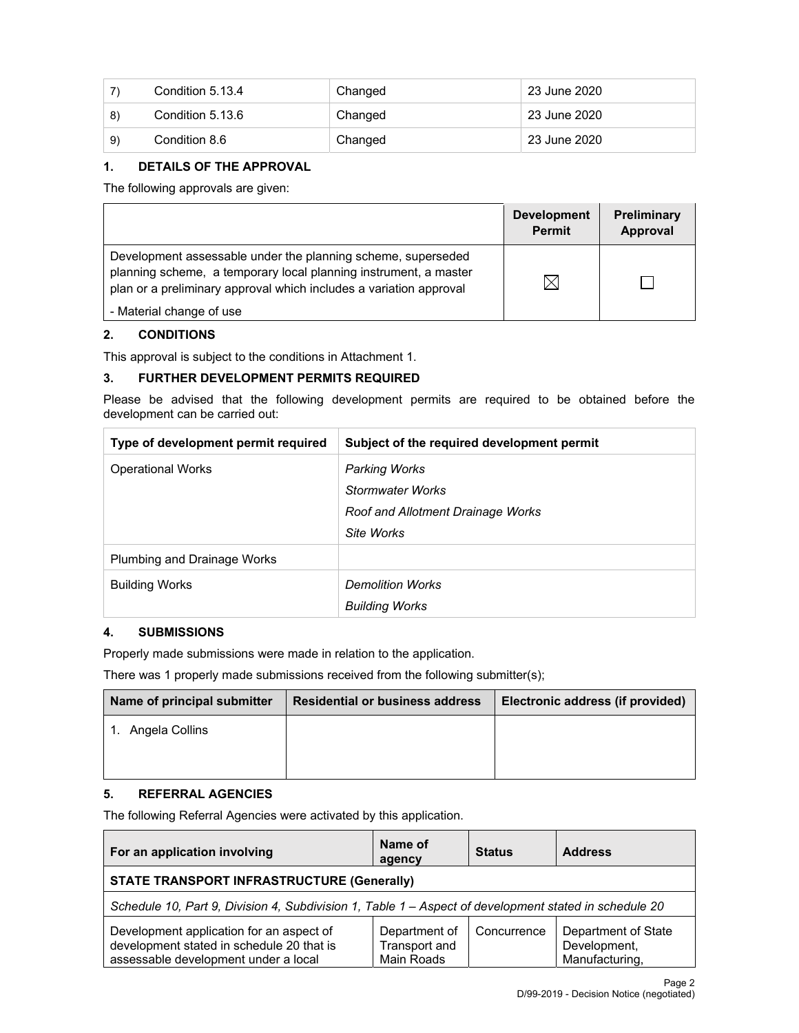|     | Condition 5.13.4 | Changed | 23 June 2020 |
|-----|------------------|---------|--------------|
| 8)  | Condition 5.13.6 | Changed | 23 June 2020 |
| -9) | Condition 8.6    | Changed | 23 June 2020 |

#### **1. DETAILS OF THE APPROVAL**

The following approvals are given:

|                                                                                                                                                                                                        | <b>Development</b><br><b>Permit</b> | <b>Preliminary</b><br>Approval |
|--------------------------------------------------------------------------------------------------------------------------------------------------------------------------------------------------------|-------------------------------------|--------------------------------|
| Development assessable under the planning scheme, superseded<br>planning scheme, a temporary local planning instrument, a master<br>plan or a preliminary approval which includes a variation approval | $\times$                            |                                |
| - Material change of use                                                                                                                                                                               |                                     |                                |

#### **2. CONDITIONS**

This approval is subject to the conditions in Attachment 1.

#### **3. FURTHER DEVELOPMENT PERMITS REQUIRED**

Please be advised that the following development permits are required to be obtained before the development can be carried out:

| Type of development permit required | Subject of the required development permit |
|-------------------------------------|--------------------------------------------|
| <b>Operational Works</b>            | <b>Parking Works</b>                       |
|                                     | <b>Stormwater Works</b>                    |
|                                     | <b>Roof and Allotment Drainage Works</b>   |
|                                     | Site Works                                 |
| <b>Plumbing and Drainage Works</b>  |                                            |
| <b>Building Works</b>               | <b>Demolition Works</b>                    |
|                                     | <b>Building Works</b>                      |

## **4. SUBMISSIONS**

Properly made submissions were made in relation to the application.

There was 1 properly made submissions received from the following submitter(s);

| Name of principal submitter | <b>Residential or business address</b> | Electronic address (if provided) |
|-----------------------------|----------------------------------------|----------------------------------|
| 1. Angela Collins           |                                        |                                  |
|                             |                                        |                                  |

## **5. REFERRAL AGENCIES**

The following Referral Agencies were activated by this application.

| For an application involving                                                                                                  | Name of<br>agency                                   | <b>Status</b> | <b>Address</b>                                        |  |  |
|-------------------------------------------------------------------------------------------------------------------------------|-----------------------------------------------------|---------------|-------------------------------------------------------|--|--|
| <b>STATE TRANSPORT INFRASTRUCTURE (Generally)</b>                                                                             |                                                     |               |                                                       |  |  |
| Schedule 10, Part 9, Division 4, Subdivision 1, Table 1 - Aspect of development stated in schedule 20                         |                                                     |               |                                                       |  |  |
| Development application for an aspect of<br>development stated in schedule 20 that is<br>assessable development under a local | Department of<br><b>Transport and</b><br>Main Roads | Concurrence   | Department of State<br>Development,<br>Manufacturing, |  |  |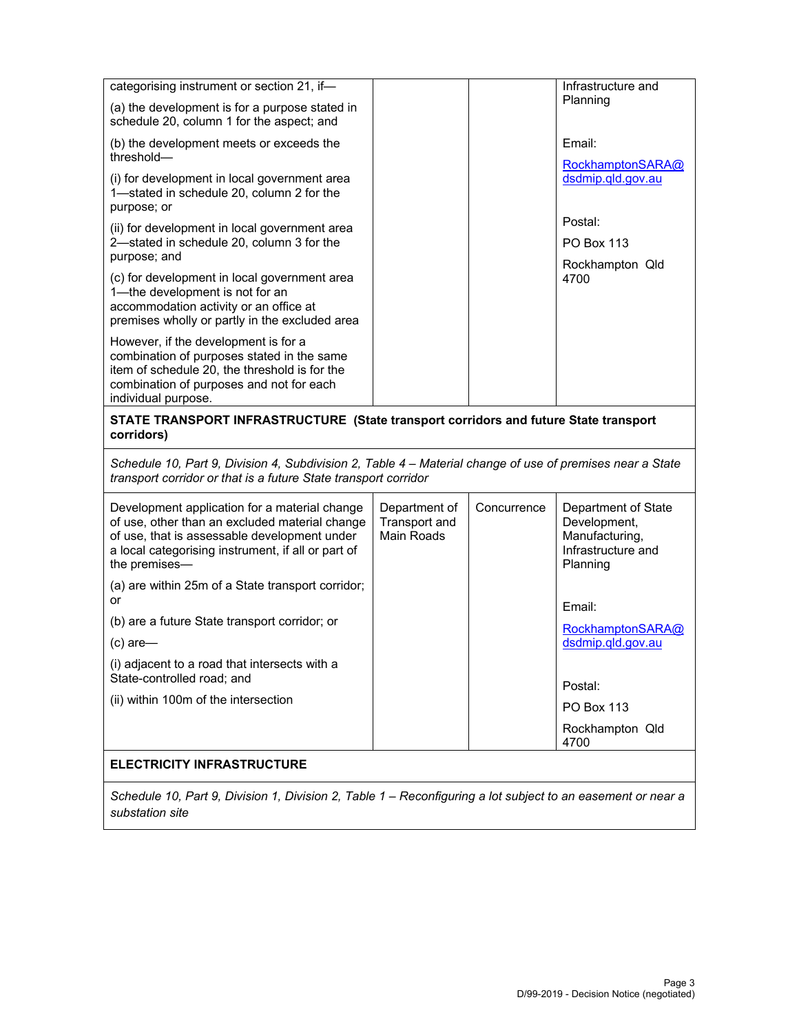| categorising instrument or section 21, if-                                                                                                                                                                             |                                              |             | Infrastructure and<br>Planning                                                          |
|------------------------------------------------------------------------------------------------------------------------------------------------------------------------------------------------------------------------|----------------------------------------------|-------------|-----------------------------------------------------------------------------------------|
| (a) the development is for a purpose stated in<br>schedule 20, column 1 for the aspect; and                                                                                                                            |                                              |             |                                                                                         |
| (b) the development meets or exceeds the<br>threshold-                                                                                                                                                                 |                                              |             | Email:                                                                                  |
| (i) for development in local government area<br>1-stated in schedule 20, column 2 for the<br>purpose; or                                                                                                               |                                              |             | RockhamptonSARA@<br>dsdmip.qld.gov.au                                                   |
| (ii) for development in local government area                                                                                                                                                                          |                                              |             | Postal:                                                                                 |
| 2-stated in schedule 20, column 3 for the<br>purpose; and                                                                                                                                                              |                                              |             | <b>PO Box 113</b><br>Rockhampton Qld                                                    |
| (c) for development in local government area<br>1-the development is not for an<br>accommodation activity or an office at<br>premises wholly or partly in the excluded area                                            |                                              |             | 4700                                                                                    |
| However, if the development is for a<br>combination of purposes stated in the same<br>item of schedule 20, the threshold is for the<br>combination of purposes and not for each<br>individual purpose.                 |                                              |             |                                                                                         |
| STATE TRANSPORT INFRASTRUCTURE (State transport corridors and future State transport<br>corridors)                                                                                                                     |                                              |             |                                                                                         |
| Schedule 10, Part 9, Division 4, Subdivision 2, Table 4 – Material change of use of premises near a State<br>transport corridor or that is a future State transport corridor                                           |                                              |             |                                                                                         |
| Development application for a material change<br>of use, other than an excluded material change<br>of use, that is assessable development under<br>a local categorising instrument, if all or part of<br>the premises- | Department of<br>Transport and<br>Main Roads | Concurrence | Department of State<br>Development,<br>Manufacturing,<br>Infrastructure and<br>Planning |
| (a) are within 25m of a State transport corridor;                                                                                                                                                                      |                                              |             |                                                                                         |
| or                                                                                                                                                                                                                     |                                              |             |                                                                                         |
| (b) are a future State transport corridor; or                                                                                                                                                                          |                                              |             | Email:                                                                                  |
| $(c)$ are-                                                                                                                                                                                                             |                                              |             | RockhamptonSARA@<br>dsdmip.qld.gov.au                                                   |
| (i) adjacent to a road that intersects with a<br>State-controlled road; and                                                                                                                                            |                                              |             |                                                                                         |
|                                                                                                                                                                                                                        |                                              |             | Postal:                                                                                 |
| (ii) within 100m of the intersection                                                                                                                                                                                   |                                              |             | <b>PO Box 113</b>                                                                       |
|                                                                                                                                                                                                                        |                                              |             | Rockhampton Qld<br>4700                                                                 |
| <b>ELECTRICITY INFRASTRUCTURE</b>                                                                                                                                                                                      |                                              |             |                                                                                         |

*Schedule 10, Part 9, Division 1, Division 2, Table 1 – Reconfiguring a lot subject to an easement or near a substation site*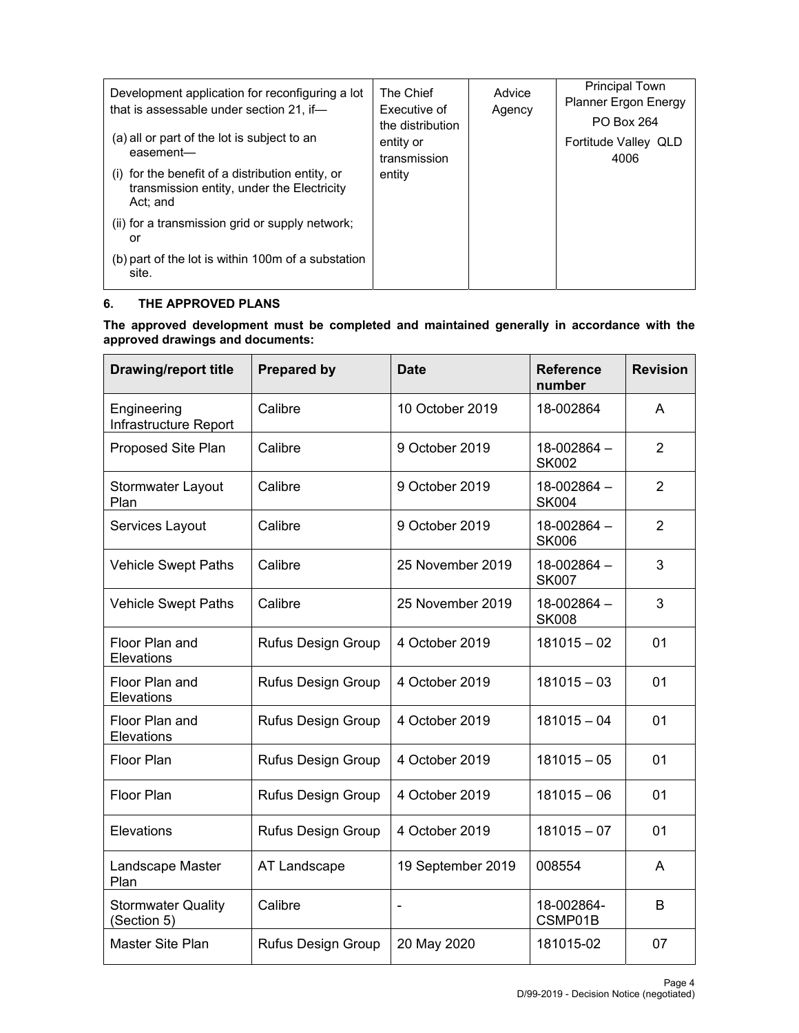| Development application for reconfiguring a lot<br>that is assessable under section 21, if-<br>(a) all or part of the lot is subject to an | The Chief<br>Executive of<br>the distribution<br>entity or | Advice<br>Agency | <b>Principal Town</b><br><b>Planner Ergon Energy</b><br><b>PO Box 264</b><br>Fortitude Valley QLD |
|--------------------------------------------------------------------------------------------------------------------------------------------|------------------------------------------------------------|------------------|---------------------------------------------------------------------------------------------------|
| easement-                                                                                                                                  | transmission                                               |                  | 4006                                                                                              |
| (i) for the benefit of a distribution entity, or<br>transmission entity, under the Electricity<br>Act: and                                 | entity                                                     |                  |                                                                                                   |
| (ii) for a transmission grid or supply network;<br>or                                                                                      |                                                            |                  |                                                                                                   |
| (b) part of the lot is within 100m of a substation<br>site.                                                                                |                                                            |                  |                                                                                                   |

#### **6. THE APPROVED PLANS**

**The approved development must be completed and maintained generally in accordance with the approved drawings and documents:** 

| <b>Drawing/report title</b>              | <b>Prepared by</b>        | <b>Date</b>              | <b>Reference</b><br>number  | <b>Revision</b> |
|------------------------------------------|---------------------------|--------------------------|-----------------------------|-----------------|
| Engineering<br>Infrastructure Report     | Calibre                   | 10 October 2019          | 18-002864                   | A               |
| Proposed Site Plan                       | Calibre                   | 9 October 2019           | 18-002864-<br><b>SK002</b>  | $\overline{2}$  |
| Stormwater Layout<br>Plan                | Calibre                   | 9 October 2019           | 18-002864-<br><b>SK004</b>  | $\overline{2}$  |
| Services Layout                          | Calibre                   | 9 October 2019           | 18-002864 -<br><b>SK006</b> | $\overline{2}$  |
| <b>Vehicle Swept Paths</b>               | Calibre                   | 25 November 2019         | 18-002864 -<br><b>SK007</b> | 3               |
| <b>Vehicle Swept Paths</b>               | Calibre                   | 25 November 2019         | 18-002864 -<br><b>SK008</b> | 3               |
| Floor Plan and<br>Elevations             | <b>Rufus Design Group</b> | 4 October 2019           | $181015 - 02$               | 01              |
| Floor Plan and<br>Elevations             | <b>Rufus Design Group</b> | 4 October 2019           | $181015 - 03$               | 01              |
| Floor Plan and<br>Elevations             | <b>Rufus Design Group</b> | 4 October 2019           | $181015 - 04$               | 01              |
| <b>Floor Plan</b>                        | <b>Rufus Design Group</b> | 4 October 2019           | $181015 - 05$               | 01              |
| <b>Floor Plan</b>                        | <b>Rufus Design Group</b> | 4 October 2019           | $181015 - 06$               | 01              |
| Elevations                               | Rufus Design Group        | 4 October 2019           | $181015 - 07$               | 01              |
| Landscape Master<br>Plan                 | AT Landscape              | 19 September 2019        | 008554                      | A               |
| <b>Stormwater Quality</b><br>(Section 5) | Calibre                   | $\overline{\phantom{a}}$ | 18-002864-<br>CSMP01B       | B               |
| Master Site Plan                         | <b>Rufus Design Group</b> | 20 May 2020              | 181015-02                   | 07              |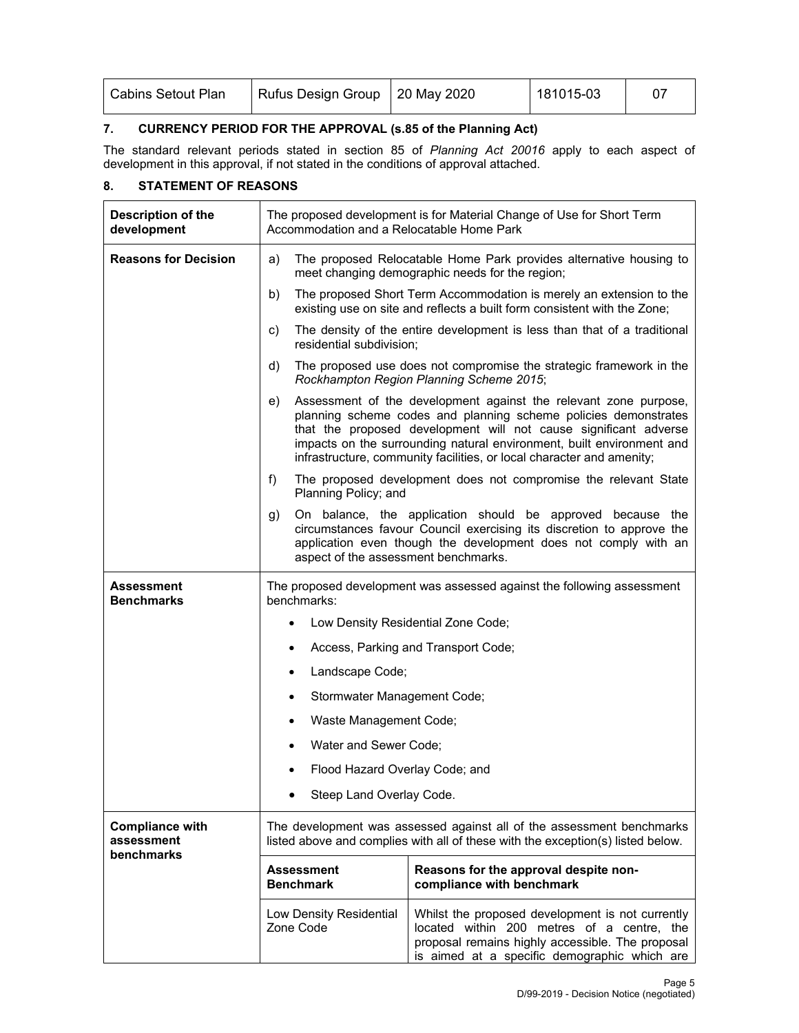| <b>Cabins Setout Plan</b> | Rufus Design Group   20 May 2020 | 181015-03 |  |
|---------------------------|----------------------------------|-----------|--|
|                           |                                  |           |  |

### **7. CURRENCY PERIOD FOR THE APPROVAL (s.85 of the Planning Act)**

The standard relevant periods stated in section 85 of *Planning Act 20016* apply to each aspect of development in this approval, if not stated in the conditions of approval attached.

#### **8. STATEMENT OF REASONS**

| Description of the<br>development                  | The proposed development is for Material Change of Use for Short Term<br>Accommodation and a Relocatable Home Park                                       |                                                                                                                                                                                                                                                                                                                                                           |  |  |  |
|----------------------------------------------------|----------------------------------------------------------------------------------------------------------------------------------------------------------|-----------------------------------------------------------------------------------------------------------------------------------------------------------------------------------------------------------------------------------------------------------------------------------------------------------------------------------------------------------|--|--|--|
| <b>Reasons for Decision</b>                        | a)                                                                                                                                                       | The proposed Relocatable Home Park provides alternative housing to<br>meet changing demographic needs for the region;                                                                                                                                                                                                                                     |  |  |  |
|                                                    | b)                                                                                                                                                       | The proposed Short Term Accommodation is merely an extension to the<br>existing use on site and reflects a built form consistent with the Zone;                                                                                                                                                                                                           |  |  |  |
|                                                    | c)<br>residential subdivision;                                                                                                                           | The density of the entire development is less than that of a traditional                                                                                                                                                                                                                                                                                  |  |  |  |
|                                                    | d)                                                                                                                                                       | The proposed use does not compromise the strategic framework in the<br>Rockhampton Region Planning Scheme 2015;                                                                                                                                                                                                                                           |  |  |  |
|                                                    | e)                                                                                                                                                       | Assessment of the development against the relevant zone purpose,<br>planning scheme codes and planning scheme policies demonstrates<br>that the proposed development will not cause significant adverse<br>impacts on the surrounding natural environment, built environment and<br>infrastructure, community facilities, or local character and amenity; |  |  |  |
|                                                    | f)<br>Planning Policy; and                                                                                                                               | The proposed development does not compromise the relevant State                                                                                                                                                                                                                                                                                           |  |  |  |
|                                                    | g)                                                                                                                                                       | On balance, the application should be approved because the<br>circumstances favour Council exercising its discretion to approve the<br>application even though the development does not comply with an<br>aspect of the assessment benchmarks.                                                                                                            |  |  |  |
| Assessment<br>Benchmarks                           | The proposed development was assessed against the following assessment<br>benchmarks:                                                                    |                                                                                                                                                                                                                                                                                                                                                           |  |  |  |
|                                                    | Low Density Residential Zone Code;<br>$\bullet$                                                                                                          |                                                                                                                                                                                                                                                                                                                                                           |  |  |  |
|                                                    | $\bullet$                                                                                                                                                | Access, Parking and Transport Code;                                                                                                                                                                                                                                                                                                                       |  |  |  |
|                                                    | Landscape Code;<br>$\bullet$                                                                                                                             |                                                                                                                                                                                                                                                                                                                                                           |  |  |  |
|                                                    | Stormwater Management Code;<br>$\bullet$                                                                                                                 |                                                                                                                                                                                                                                                                                                                                                           |  |  |  |
|                                                    | Waste Management Code;<br>٠                                                                                                                              |                                                                                                                                                                                                                                                                                                                                                           |  |  |  |
|                                                    | Water and Sewer Code;                                                                                                                                    |                                                                                                                                                                                                                                                                                                                                                           |  |  |  |
|                                                    | Flood Hazard Overlay Code; and<br>٠                                                                                                                      |                                                                                                                                                                                                                                                                                                                                                           |  |  |  |
|                                                    | Steep Land Overlay Code.                                                                                                                                 |                                                                                                                                                                                                                                                                                                                                                           |  |  |  |
| <b>Compliance with</b><br>assessment<br>benchmarks | The development was assessed against all of the assessment benchmarks<br>listed above and complies with all of these with the exception(s) listed below. |                                                                                                                                                                                                                                                                                                                                                           |  |  |  |
|                                                    | <b>Assessment</b><br><b>Benchmark</b>                                                                                                                    | Reasons for the approval despite non-<br>compliance with benchmark                                                                                                                                                                                                                                                                                        |  |  |  |
|                                                    | Low Density Residential<br>Zone Code                                                                                                                     | Whilst the proposed development is not currently<br>located within 200 metres of a centre, the<br>proposal remains highly accessible. The proposal<br>is aimed at a specific demographic which are                                                                                                                                                        |  |  |  |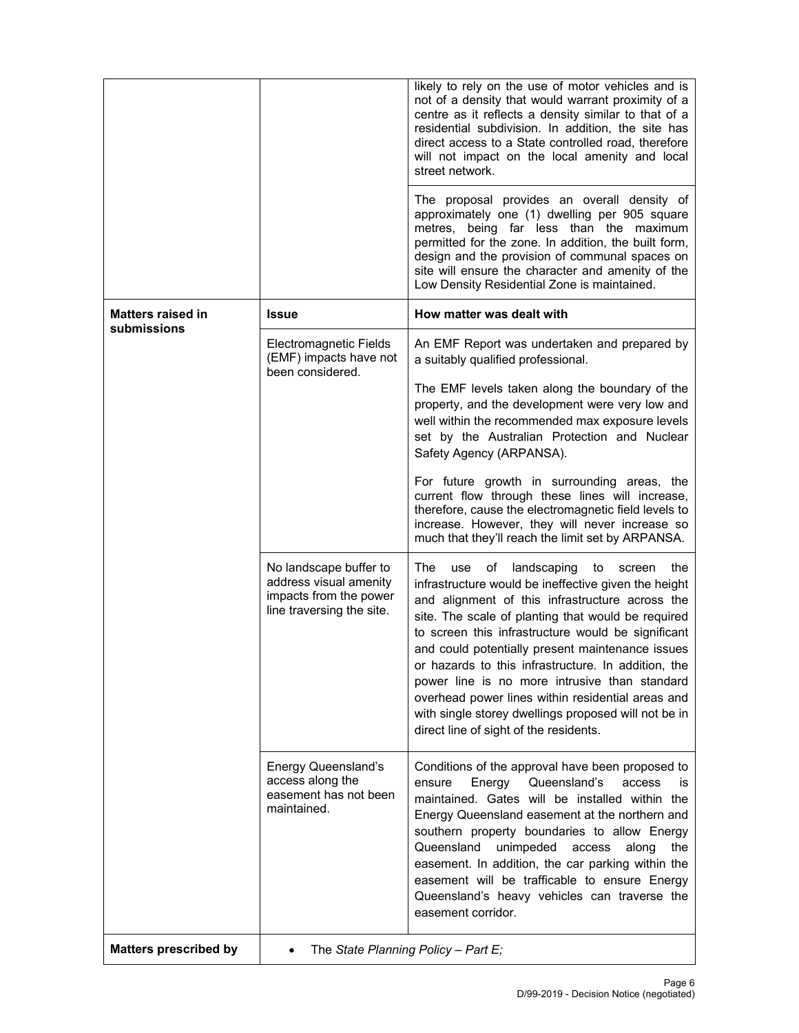|                                         |                                                                                                         | likely to rely on the use of motor vehicles and is<br>not of a density that would warrant proximity of a<br>centre as it reflects a density similar to that of a<br>residential subdivision. In addition, the site has<br>direct access to a State controlled road, therefore<br>will not impact on the local amenity and local<br>street network.                                                                                                                                                                                                                                               |  |
|-----------------------------------------|---------------------------------------------------------------------------------------------------------|--------------------------------------------------------------------------------------------------------------------------------------------------------------------------------------------------------------------------------------------------------------------------------------------------------------------------------------------------------------------------------------------------------------------------------------------------------------------------------------------------------------------------------------------------------------------------------------------------|--|
|                                         |                                                                                                         | The proposal provides an overall density of<br>approximately one (1) dwelling per 905 square<br>metres, being far less than the maximum<br>permitted for the zone. In addition, the built form,<br>design and the provision of communal spaces on<br>site will ensure the character and amenity of the<br>Low Density Residential Zone is maintained.                                                                                                                                                                                                                                            |  |
| <b>Matters raised in</b><br>submissions | <b>Issue</b>                                                                                            | How matter was dealt with                                                                                                                                                                                                                                                                                                                                                                                                                                                                                                                                                                        |  |
|                                         | Electromagnetic Fields<br>(EMF) impacts have not<br>been considered.                                    | An EMF Report was undertaken and prepared by<br>a suitably qualified professional.                                                                                                                                                                                                                                                                                                                                                                                                                                                                                                               |  |
|                                         |                                                                                                         | The EMF levels taken along the boundary of the<br>property, and the development were very low and<br>well within the recommended max exposure levels<br>set by the Australian Protection and Nuclear<br>Safety Agency (ARPANSA).                                                                                                                                                                                                                                                                                                                                                                 |  |
|                                         |                                                                                                         | For future growth in surrounding areas, the<br>current flow through these lines will increase,<br>therefore, cause the electromagnetic field levels to<br>increase. However, they will never increase so<br>much that they'll reach the limit set by ARPANSA.                                                                                                                                                                                                                                                                                                                                    |  |
|                                         | No landscape buffer to<br>address visual amenity<br>impacts from the power<br>line traversing the site. | The<br>landscaping<br>use<br>of<br>to<br>the<br>screen<br>infrastructure would be ineffective given the height<br>and alignment of this infrastructure across the<br>site. The scale of planting that would be required<br>to screen this infrastructure would be significant<br>and could potentially present maintenance issues<br>or hazards to this infrastructure. In addition, the<br>power line is no more intrusive than standard<br>overhead power lines within residential areas and<br>with single storey dwellings proposed will not be in<br>direct line of sight of the residents. |  |
|                                         | <b>Energy Queensland's</b><br>access along the<br>easement has not been<br>maintained.                  | Conditions of the approval have been proposed to<br>Energy<br>Queensland's<br>access<br>ensure<br>İS.<br>maintained. Gates will be installed within the<br>Energy Queensland easement at the northern and<br>southern property boundaries to allow Energy<br>Queensland<br>unimpeded<br>access<br>along<br>the<br>easement. In addition, the car parking within the<br>easement will be trafficable to ensure Energy<br>Queensland's heavy vehicles can traverse the<br>easement corridor.                                                                                                       |  |
| <b>Matters prescribed by</b>            | The State Planning Policy - Part E;                                                                     |                                                                                                                                                                                                                                                                                                                                                                                                                                                                                                                                                                                                  |  |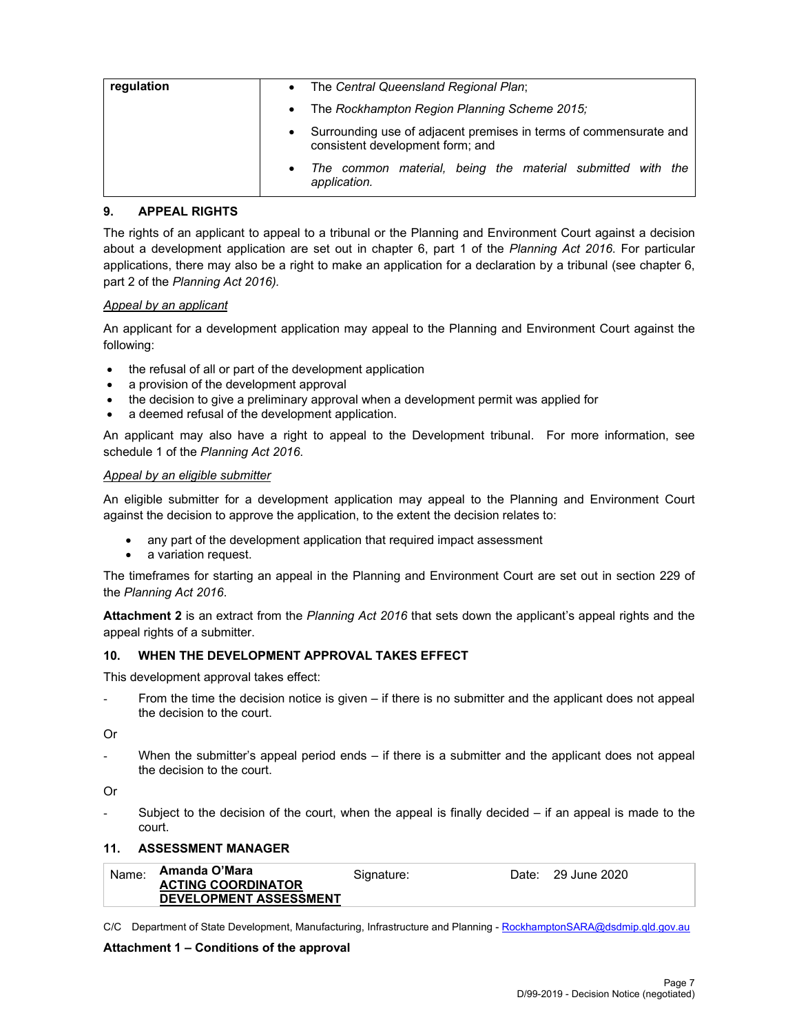| regulation | $\bullet$ | The Central Queensland Regional Plan;                                                                 |  |  |  |  |
|------------|-----------|-------------------------------------------------------------------------------------------------------|--|--|--|--|
|            | $\bullet$ | The Rockhampton Region Planning Scheme 2015;                                                          |  |  |  |  |
|            | $\bullet$ | Surrounding use of adjacent premises in terms of commensurate and<br>consistent development form; and |  |  |  |  |
|            | $\bullet$ | The common material, being the material submitted with the<br>application.                            |  |  |  |  |

#### **9. APPEAL RIGHTS**

The rights of an applicant to appeal to a tribunal or the Planning and Environment Court against a decision about a development application are set out in chapter 6, part 1 of the *Planning Act 2016*. For particular applications, there may also be a right to make an application for a declaration by a tribunal (see chapter 6, part 2 of the *Planning Act 2016).*

#### *Appeal by an applicant*

An applicant for a development application may appeal to the Planning and Environment Court against the following:

- the refusal of all or part of the development application
- a provision of the development approval
- the decision to give a preliminary approval when a development permit was applied for
- a deemed refusal of the development application.

An applicant may also have a right to appeal to the Development tribunal. For more information, see schedule 1 of the *Planning Act 2016*.

#### *Appeal by an eligible submitter*

An eligible submitter for a development application may appeal to the Planning and Environment Court against the decision to approve the application, to the extent the decision relates to:

- any part of the development application that required impact assessment
- a variation request.

The timeframes for starting an appeal in the Planning and Environment Court are set out in section 229 of the *Planning Act 2016*.

**Attachment 2** is an extract from the *Planning Act 2016* that sets down the applicant's appeal rights and the appeal rights of a submitter.

#### **10. WHEN THE DEVELOPMENT APPROVAL TAKES EFFECT**

This development approval takes effect:

From the time the decision notice is given – if there is no submitter and the applicant does not appeal the decision to the court.

Or

When the submitter's appeal period ends  $-$  if there is a submitter and the applicant does not appeal the decision to the court.

Or

Subject to the decision of the court, when the appeal is finally decided  $-$  if an appeal is made to the court.

#### **11. ASSESSMENT MANAGER**

| Name: | Amanda O'Mara                 | Siɑnature: | Date: 29 June 2020 |
|-------|-------------------------------|------------|--------------------|
|       | <b>ACTING COORDINATOR</b>     |            |                    |
|       | <b>DEVELOPMENT ASSESSMENT</b> |            |                    |

C/C Department of State Development, Manufacturing, Infrastructure and Planning - RockhamptonSARA@dsdmip.qld.gov.au

#### **Attachment 1 – Conditions of the approval**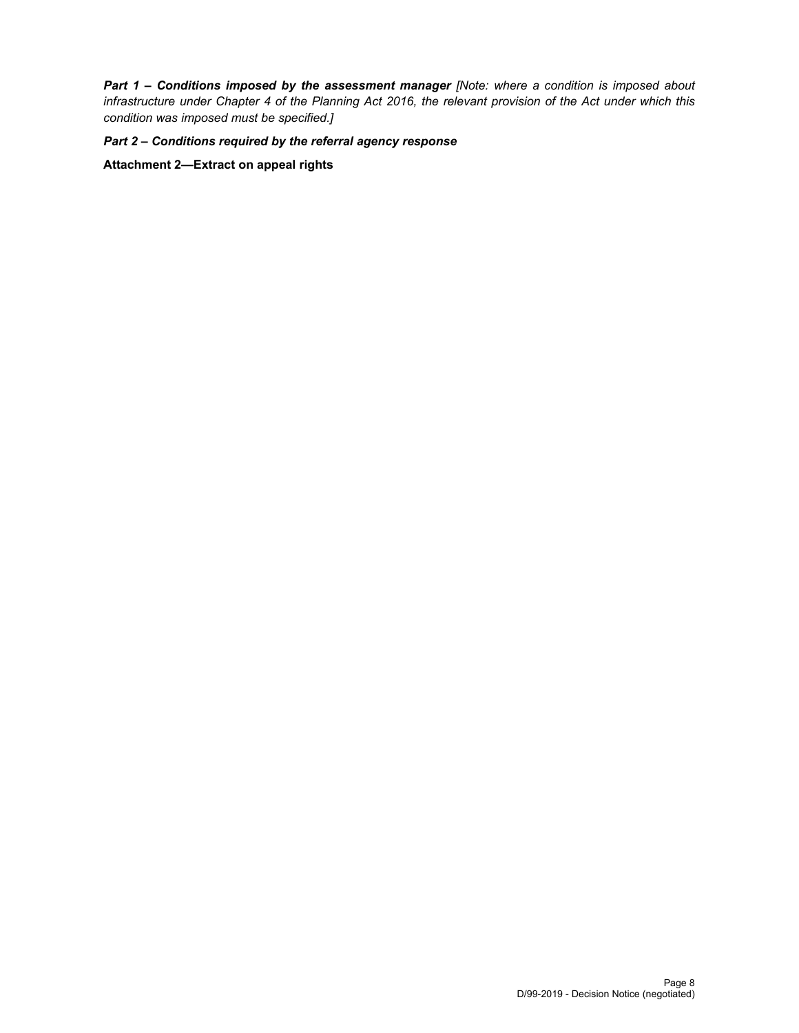*Part 1* **–** *Conditions imposed by the assessment manager [Note: where a condition is imposed about infrastructure under Chapter 4 of the Planning Act 2016, the relevant provision of the Act under which this condition was imposed must be specified.]* 

*Part 2 – Conditions required by the referral agency response* 

**Attachment 2—Extract on appeal rights**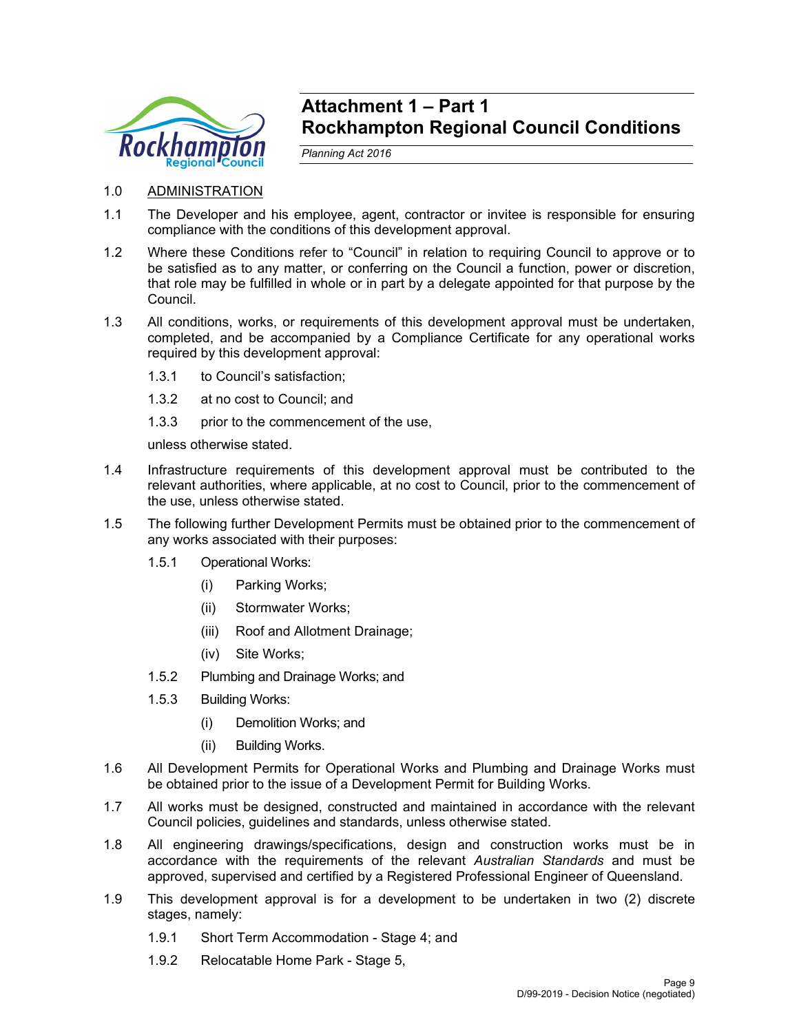

# **Attachment 1 – Part 1 Rockhampton Regional Council Conditions**

*Planning Act 2016* 

# 1.0 ADMINISTRATION

- 1.1 The Developer and his employee, agent, contractor or invitee is responsible for ensuring compliance with the conditions of this development approval.
- 1.2 Where these Conditions refer to "Council" in relation to requiring Council to approve or to be satisfied as to any matter, or conferring on the Council a function, power or discretion, that role may be fulfilled in whole or in part by a delegate appointed for that purpose by the Council.
- 1.3 All conditions, works, or requirements of this development approval must be undertaken, completed, and be accompanied by a Compliance Certificate for any operational works required by this development approval:
	- 1.3.1 to Council's satisfaction;
	- 1.3.2 at no cost to Council; and
	- 1.3.3 prior to the commencement of the use,

unless otherwise stated.

- 1.4 Infrastructure requirements of this development approval must be contributed to the relevant authorities, where applicable, at no cost to Council, prior to the commencement of the use, unless otherwise stated.
- 1.5 The following further Development Permits must be obtained prior to the commencement of any works associated with their purposes:
	- 1.5.1 Operational Works:
		- (i) Parking Works;
		- (ii) Stormwater Works;
		- (iii) Roof and Allotment Drainage;
		- (iv) Site Works;
	- 1.5.2 Plumbing and Drainage Works; and
	- 1.5.3 Building Works:
		- (i) Demolition Works; and
		- (ii) Building Works.
- 1.6 All Development Permits for Operational Works and Plumbing and Drainage Works must be obtained prior to the issue of a Development Permit for Building Works.
- 1.7 All works must be designed, constructed and maintained in accordance with the relevant Council policies, guidelines and standards, unless otherwise stated.
- 1.8 All engineering drawings/specifications, design and construction works must be in accordance with the requirements of the relevant *Australian Standards* and must be approved, supervised and certified by a Registered Professional Engineer of Queensland.
- 1.9 This development approval is for a development to be undertaken in two (2) discrete stages, namely:
	- 1.9.1 Short Term Accommodation Stage 4; and
	- 1.9.2 Relocatable Home Park Stage 5,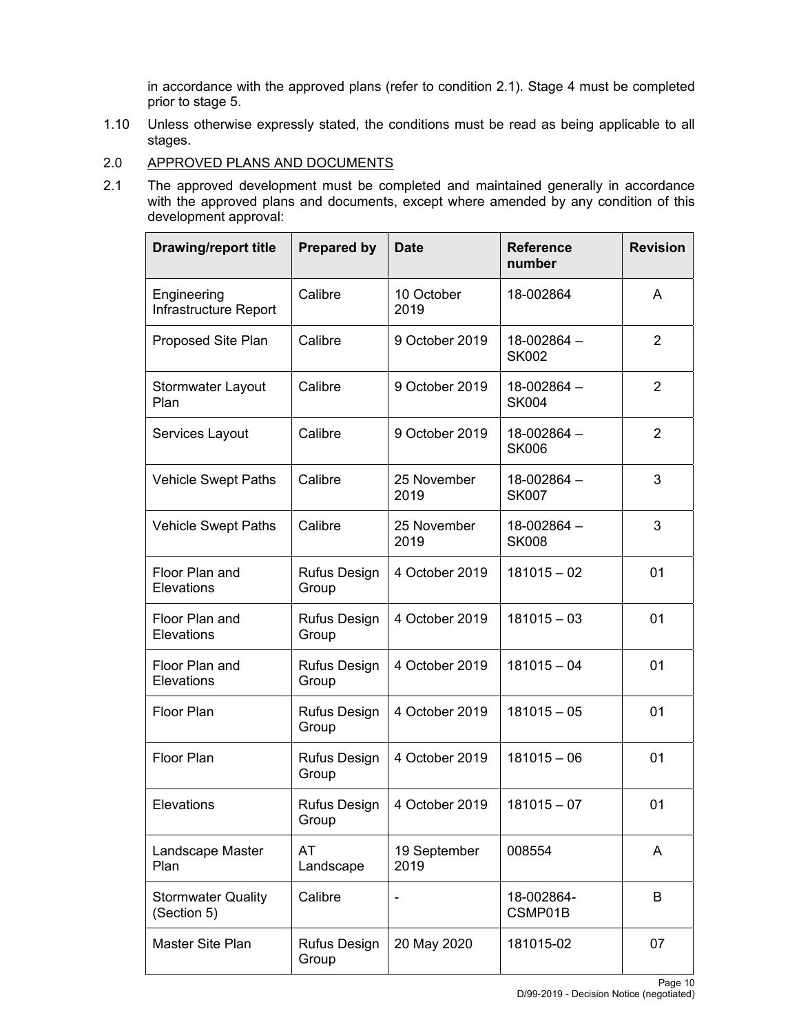in accordance with the approved plans (refer to condition 2.1). Stage 4 must be completed prior to stage 5.

- 1.10 Unless otherwise expressly stated, the conditions must be read as being applicable to all stages.
- 2.0 APPROVED PLANS AND DOCUMENTS
- 2.1 The approved development must be completed and maintained generally in accordance with the approved plans and documents, except where amended by any condition of this development approval:

| <b>Drawing/report title</b>              | <b>Prepared by</b>           | <b>Date</b>          | <b>Reference</b><br>number      | <b>Revision</b> |
|------------------------------------------|------------------------------|----------------------|---------------------------------|-----------------|
| Engineering<br>Infrastructure Report     | Calibre                      | 10 October<br>2019   | 18-002864                       | A               |
| Proposed Site Plan                       | Calibre                      | 9 October 2019       | 18-002864 -<br><b>SK002</b>     | $\overline{2}$  |
| <b>Stormwater Layout</b><br>Plan         | Calibre                      | 9 October 2019       | 18-002864 -<br><b>SK004</b>     | 2               |
| Services Layout                          | Calibre                      | 9 October 2019       | 18-002864 -<br><b>SK006</b>     | $\overline{2}$  |
| <b>Vehicle Swept Paths</b>               | Calibre                      | 25 November<br>2019  | 18-002864-<br><b>SK007</b>      | 3               |
| <b>Vehicle Swept Paths</b>               | Calibre                      | 25 November<br>2019  | $18 - 002864 -$<br><b>SK008</b> | 3               |
| Floor Plan and<br>Elevations             | Rufus Design<br>Group        | 4 October 2019       | $181015 - 02$                   | 01              |
| Floor Plan and<br>Elevations             | <b>Rufus Design</b><br>Group | 4 October 2019       | $181015 - 03$                   | 01              |
| Floor Plan and<br>Elevations             | <b>Rufus Design</b><br>Group | 4 October 2019       | $181015 - 04$                   | 01              |
| <b>Floor Plan</b>                        | Rufus Design<br>Group        | 4 October 2019       | $181015 - 05$                   | 01              |
| Floor Plan                               | Rufus Design<br>Group        | 4 October 2019       | $181015 - 06$                   | 01              |
| Elevations                               | <b>Rufus Design</b><br>Group | 4 October 2019       | $181015 - 07$                   | 01              |
| Landscape Master<br>Plan                 | AT<br>Landscape              | 19 September<br>2019 | 008554                          | A               |
| <b>Stormwater Quality</b><br>(Section 5) | Calibre                      |                      | 18-002864-<br>CSMP01B           | B               |
| Master Site Plan                         | <b>Rufus Design</b><br>Group | 20 May 2020          | 181015-02                       | 07              |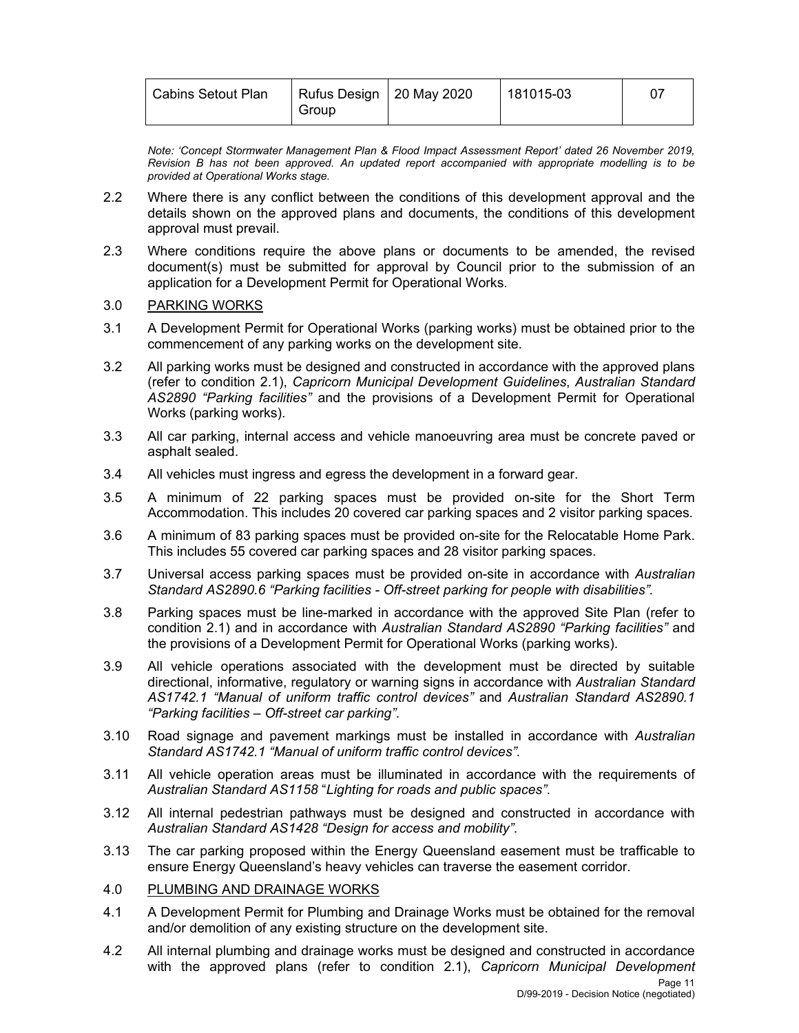| Cabins Setout Plan<br>Group | Rufus Design   20 May 2020 | 181015-03 |  |
|-----------------------------|----------------------------|-----------|--|
|-----------------------------|----------------------------|-----------|--|

*Note: 'Concept Stormwater Management Plan & Flood Impact Assessment Report' dated 26 November 2019, Revision B has not been approved. An updated report accompanied with appropriate modelling is to be provided at Operational Works stage.* 

- 2.2 Where there is any conflict between the conditions of this development approval and the details shown on the approved plans and documents, the conditions of this development approval must prevail.
- 2.3 Where conditions require the above plans or documents to be amended, the revised document(s) must be submitted for approval by Council prior to the submission of an application for a Development Permit for Operational Works.

#### 3.0 PARKING WORKS

- 3.1 A Development Permit for Operational Works (parking works) must be obtained prior to the commencement of any parking works on the development site.
- 3.2 All parking works must be designed and constructed in accordance with the approved plans (refer to condition 2.1), *Capricorn Municipal Development Guidelines*, *Australian Standard AS2890 "Parking facilities"* and the provisions of a Development Permit for Operational Works (parking works).
- 3.3 All car parking, internal access and vehicle manoeuvring area must be concrete paved or asphalt sealed.
- 3.4 All vehicles must ingress and egress the development in a forward gear.
- 3.5 A minimum of 22 parking spaces must be provided on-site for the Short Term Accommodation. This includes 20 covered car parking spaces and 2 visitor parking spaces.
- 3.6 A minimum of 83 parking spaces must be provided on-site for the Relocatable Home Park. This includes 55 covered car parking spaces and 28 visitor parking spaces.
- 3.7 Universal access parking spaces must be provided on-site in accordance with *Australian Standard AS2890.6 "Parking facilities - Off-street parking for people with disabilities".*
- 3.8 Parking spaces must be line-marked in accordance with the approved Site Plan (refer to condition 2.1) and in accordance with *Australian Standard AS2890 "Parking facilities"* and the provisions of a Development Permit for Operational Works (parking works).
- 3.9 All vehicle operations associated with the development must be directed by suitable directional, informative, regulatory or warning signs in accordance with *Australian Standard AS1742.1 "Manual of uniform traffic control devices"* and *Australian Standard AS2890.1 "Parking facilities – Off-street car parking"*.
- 3.10 Road signage and pavement markings must be installed in accordance with *Australian Standard AS1742.1 "Manual of uniform traffic control devices".*
- 3.11 All vehicle operation areas must be illuminated in accordance with the requirements of *Australian Standard AS1158* "*Lighting for roads and public spaces"*.
- 3.12 All internal pedestrian pathways must be designed and constructed in accordance with *Australian Standard AS1428 "Design for access and mobility"*.
- 3.13 The car parking proposed within the Energy Queensland easement must be trafficable to ensure Energy Queensland's heavy vehicles can traverse the easement corridor.
- 4.0 PLUMBING AND DRAINAGE WORKS
- 4.1 A Development Permit for Plumbing and Drainage Works must be obtained for the removal and/or demolition of any existing structure on the development site.
- 4.2 All internal plumbing and drainage works must be designed and constructed in accordance with the approved plans (refer to condition 2.1), *Capricorn Municipal Development*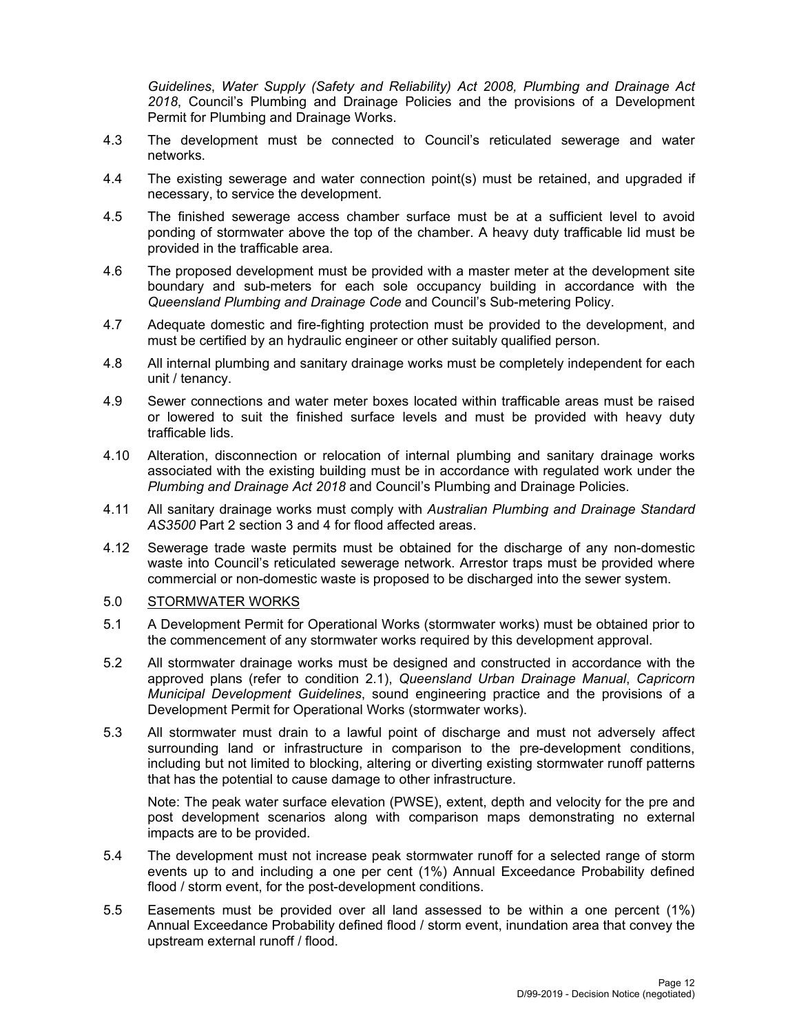*Guidelines*, *Water Supply (Safety and Reliability) Act 2008, Plumbing and Drainage Act 2018*, Council's Plumbing and Drainage Policies and the provisions of a Development Permit for Plumbing and Drainage Works.

- 4.3 The development must be connected to Council's reticulated sewerage and water networks.
- 4.4 The existing sewerage and water connection point(s) must be retained, and upgraded if necessary, to service the development.
- 4.5 The finished sewerage access chamber surface must be at a sufficient level to avoid ponding of stormwater above the top of the chamber. A heavy duty trafficable lid must be provided in the trafficable area.
- 4.6 The proposed development must be provided with a master meter at the development site boundary and sub-meters for each sole occupancy building in accordance with the *Queensland Plumbing and Drainage Code* and Council's Sub-metering Policy.
- 4.7 Adequate domestic and fire-fighting protection must be provided to the development, and must be certified by an hydraulic engineer or other suitably qualified person.
- 4.8 All internal plumbing and sanitary drainage works must be completely independent for each unit / tenancy.
- 4.9 Sewer connections and water meter boxes located within trafficable areas must be raised or lowered to suit the finished surface levels and must be provided with heavy duty trafficable lids.
- 4.10 Alteration, disconnection or relocation of internal plumbing and sanitary drainage works associated with the existing building must be in accordance with regulated work under the *Plumbing and Drainage Act 2018* and Council's Plumbing and Drainage Policies.
- 4.11 All sanitary drainage works must comply with *Australian Plumbing and Drainage Standard AS3500* Part 2 section 3 and 4 for flood affected areas.
- 4.12 Sewerage trade waste permits must be obtained for the discharge of any non-domestic waste into Council's reticulated sewerage network. Arrestor traps must be provided where commercial or non-domestic waste is proposed to be discharged into the sewer system.

## 5.0 STORMWATER WORKS

- 5.1 A Development Permit for Operational Works (stormwater works) must be obtained prior to the commencement of any stormwater works required by this development approval.
- 5.2 All stormwater drainage works must be designed and constructed in accordance with the approved plans (refer to condition 2.1), *Queensland Urban Drainage Manual*, *Capricorn Municipal Development Guidelines*, sound engineering practice and the provisions of a Development Permit for Operational Works (stormwater works).
- 5.3 All stormwater must drain to a lawful point of discharge and must not adversely affect surrounding land or infrastructure in comparison to the pre-development conditions, including but not limited to blocking, altering or diverting existing stormwater runoff patterns that has the potential to cause damage to other infrastructure.

Note: The peak water surface elevation (PWSE), extent, depth and velocity for the pre and post development scenarios along with comparison maps demonstrating no external impacts are to be provided.

- 5.4 The development must not increase peak stormwater runoff for a selected range of storm events up to and including a one per cent (1%) Annual Exceedance Probability defined flood / storm event, for the post-development conditions.
- 5.5 Easements must be provided over all land assessed to be within a one percent (1%) Annual Exceedance Probability defined flood / storm event, inundation area that convey the upstream external runoff / flood.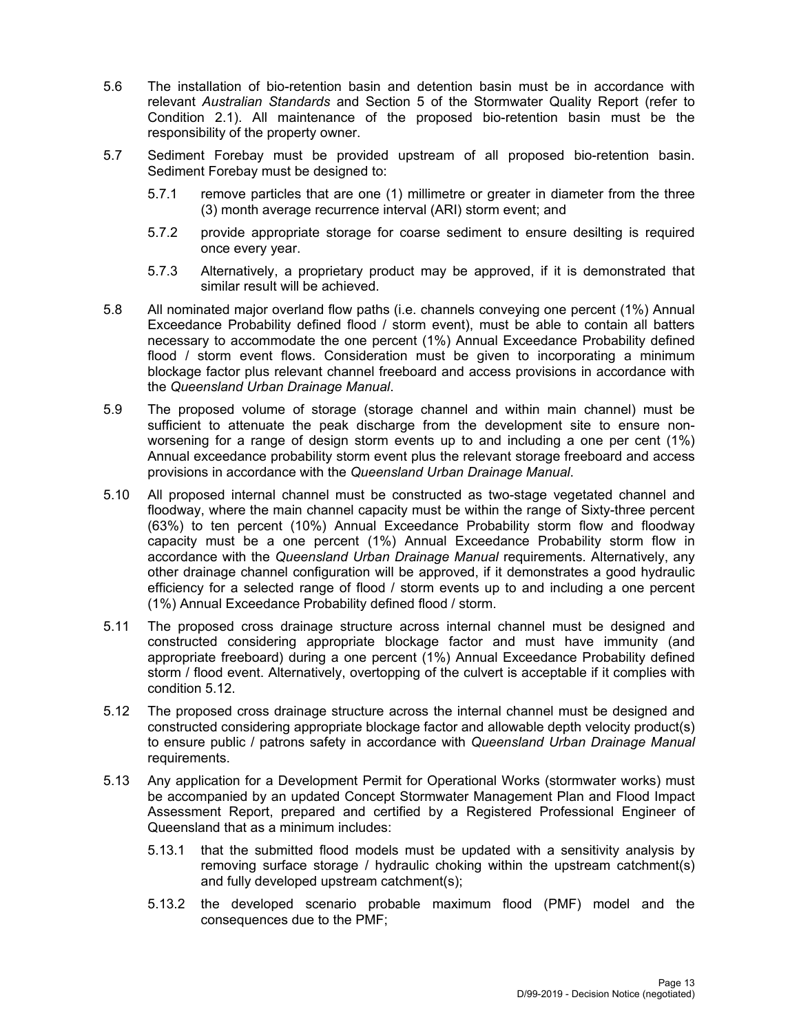- 5.6 The installation of bio-retention basin and detention basin must be in accordance with relevant *Australian Standards* and Section 5 of the Stormwater Quality Report (refer to Condition 2.1). All maintenance of the proposed bio-retention basin must be the responsibility of the property owner.
- 5.7 Sediment Forebay must be provided upstream of all proposed bio-retention basin. Sediment Forebay must be designed to:
	- 5.7.1 remove particles that are one (1) millimetre or greater in diameter from the three (3) month average recurrence interval (ARI) storm event; and
	- 5.7.2 provide appropriate storage for coarse sediment to ensure desilting is required once every year.
	- 5.7.3 Alternatively, a proprietary product may be approved, if it is demonstrated that similar result will be achieved.
- 5.8 All nominated major overland flow paths (i.e. channels conveying one percent (1%) Annual Exceedance Probability defined flood / storm event), must be able to contain all batters necessary to accommodate the one percent (1%) Annual Exceedance Probability defined flood / storm event flows. Consideration must be given to incorporating a minimum blockage factor plus relevant channel freeboard and access provisions in accordance with the *Queensland Urban Drainage Manual*.
- 5.9 The proposed volume of storage (storage channel and within main channel) must be sufficient to attenuate the peak discharge from the development site to ensure nonworsening for a range of design storm events up to and including a one per cent (1%) Annual exceedance probability storm event plus the relevant storage freeboard and access provisions in accordance with the *Queensland Urban Drainage Manual*.
- 5.10 All proposed internal channel must be constructed as two-stage vegetated channel and floodway, where the main channel capacity must be within the range of Sixty-three percent (63%) to ten percent (10%) Annual Exceedance Probability storm flow and floodway capacity must be a one percent (1%) Annual Exceedance Probability storm flow in accordance with the *Queensland Urban Drainage Manual* requirements. Alternatively, any other drainage channel configuration will be approved, if it demonstrates a good hydraulic efficiency for a selected range of flood / storm events up to and including a one percent (1%) Annual Exceedance Probability defined flood / storm.
- 5.11 The proposed cross drainage structure across internal channel must be designed and constructed considering appropriate blockage factor and must have immunity (and appropriate freeboard) during a one percent (1%) Annual Exceedance Probability defined storm / flood event. Alternatively, overtopping of the culvert is acceptable if it complies with condition 5.12.
- 5.12 The proposed cross drainage structure across the internal channel must be designed and constructed considering appropriate blockage factor and allowable depth velocity product(s) to ensure public / patrons safety in accordance with *Queensland Urban Drainage Manual* requirements.
- 5.13 Any application for a Development Permit for Operational Works (stormwater works) must be accompanied by an updated Concept Stormwater Management Plan and Flood Impact Assessment Report, prepared and certified by a Registered Professional Engineer of Queensland that as a minimum includes:
	- 5.13.1 that the submitted flood models must be updated with a sensitivity analysis by removing surface storage / hydraulic choking within the upstream catchment(s) and fully developed upstream catchment(s);
	- 5.13.2 the developed scenario probable maximum flood (PMF) model and the consequences due to the PMF;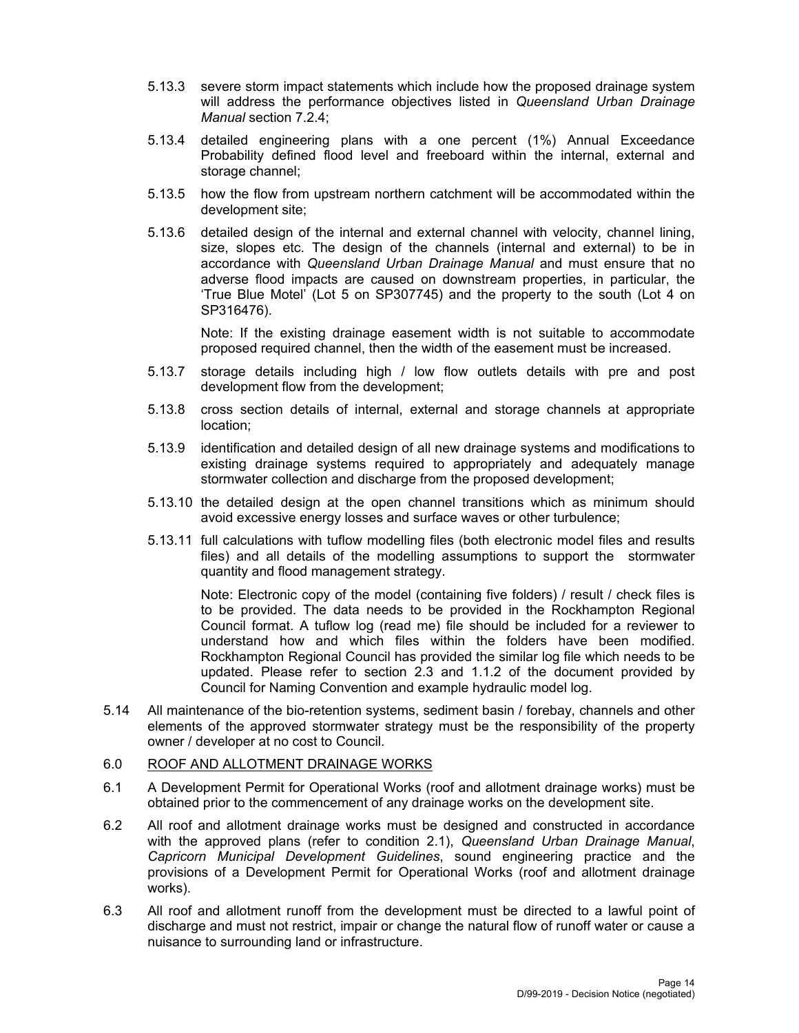- 5.13.3 severe storm impact statements which include how the proposed drainage system will address the performance objectives listed in *Queensland Urban Drainage Manual* section 7.2.4;
- 5.13.4 detailed engineering plans with a one percent (1%) Annual Exceedance Probability defined flood level and freeboard within the internal, external and storage channel;
- 5.13.5 how the flow from upstream northern catchment will be accommodated within the development site;
- 5.13.6 detailed design of the internal and external channel with velocity, channel lining, size, slopes etc. The design of the channels (internal and external) to be in accordance with *Queensland Urban Drainage Manual* and must ensure that no adverse flood impacts are caused on downstream properties, in particular, the 'True Blue Motel' (Lot 5 on SP307745) and the property to the south (Lot 4 on SP316476).

Note: If the existing drainage easement width is not suitable to accommodate proposed required channel, then the width of the easement must be increased.

- 5.13.7 storage details including high / low flow outlets details with pre and post development flow from the development;
- 5.13.8 cross section details of internal, external and storage channels at appropriate location;
- 5.13.9 identification and detailed design of all new drainage systems and modifications to existing drainage systems required to appropriately and adequately manage stormwater collection and discharge from the proposed development;
- 5.13.10 the detailed design at the open channel transitions which as minimum should avoid excessive energy losses and surface waves or other turbulence;
- 5.13.11 full calculations with tuflow modelling files (both electronic model files and results files) and all details of the modelling assumptions to support the stormwater quantity and flood management strategy.

Note: Electronic copy of the model (containing five folders) / result / check files is to be provided. The data needs to be provided in the Rockhampton Regional Council format. A tuflow log (read me) file should be included for a reviewer to understand how and which files within the folders have been modified. Rockhampton Regional Council has provided the similar log file which needs to be updated. Please refer to section 2.3 and 1.1.2 of the document provided by Council for Naming Convention and example hydraulic model log.

5.14 All maintenance of the bio-retention systems, sediment basin / forebay, channels and other elements of the approved stormwater strategy must be the responsibility of the property owner / developer at no cost to Council.

#### 6.0 ROOF AND ALLOTMENT DRAINAGE WORKS

- 6.1 A Development Permit for Operational Works (roof and allotment drainage works) must be obtained prior to the commencement of any drainage works on the development site.
- 6.2 All roof and allotment drainage works must be designed and constructed in accordance with the approved plans (refer to condition 2.1), *Queensland Urban Drainage Manual*, *Capricorn Municipal Development Guidelines*, sound engineering practice and the provisions of a Development Permit for Operational Works (roof and allotment drainage works).
- 6.3 All roof and allotment runoff from the development must be directed to a lawful point of discharge and must not restrict, impair or change the natural flow of runoff water or cause a nuisance to surrounding land or infrastructure.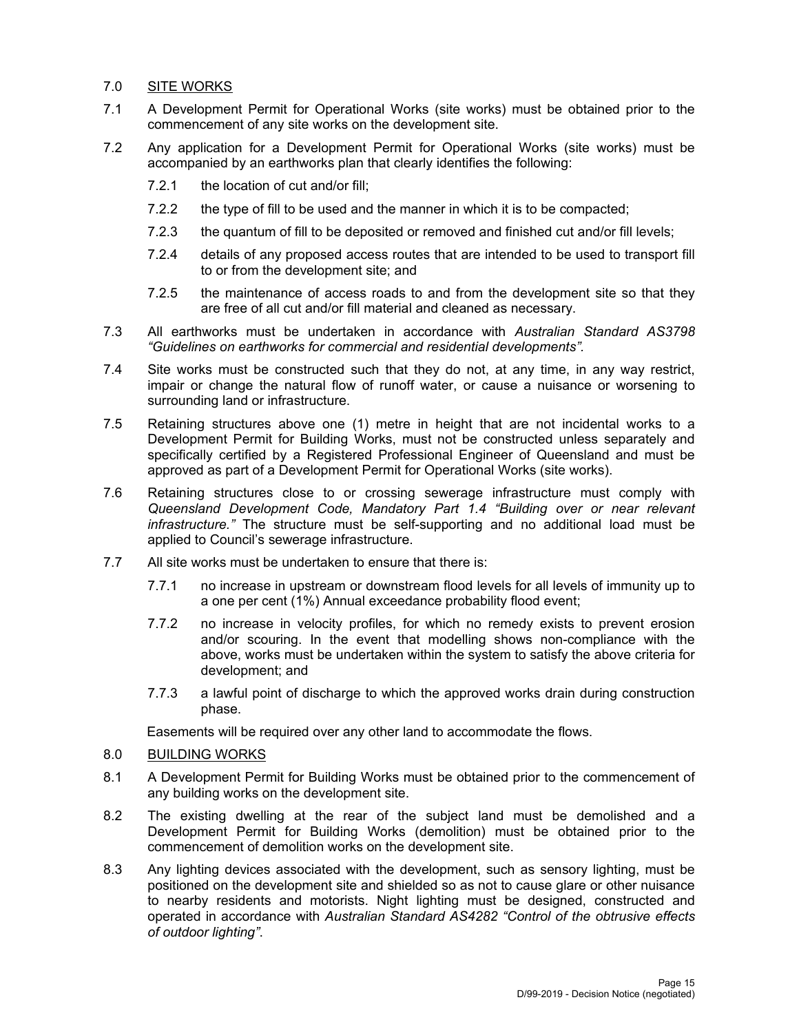## 7.0 SITE WORKS

- 7.1 A Development Permit for Operational Works (site works) must be obtained prior to the commencement of any site works on the development site.
- 7.2 Any application for a Development Permit for Operational Works (site works) must be accompanied by an earthworks plan that clearly identifies the following:
	- 7.2.1 the location of cut and/or fill;
	- 7.2.2 the type of fill to be used and the manner in which it is to be compacted;
	- 7.2.3 the quantum of fill to be deposited or removed and finished cut and/or fill levels;
	- 7.2.4 details of any proposed access routes that are intended to be used to transport fill to or from the development site; and
	- 7.2.5 the maintenance of access roads to and from the development site so that they are free of all cut and/or fill material and cleaned as necessary.
- 7.3 All earthworks must be undertaken in accordance with *Australian Standard AS3798 "Guidelines on earthworks for commercial and residential developments".*
- 7.4 Site works must be constructed such that they do not, at any time, in any way restrict, impair or change the natural flow of runoff water, or cause a nuisance or worsening to surrounding land or infrastructure.
- 7.5 Retaining structures above one (1) metre in height that are not incidental works to a Development Permit for Building Works, must not be constructed unless separately and specifically certified by a Registered Professional Engineer of Queensland and must be approved as part of a Development Permit for Operational Works (site works).
- 7.6 Retaining structures close to or crossing sewerage infrastructure must comply with *Queensland Development Code, Mandatory Part 1.4 "Building over or near relevant infrastructure."* The structure must be self-supporting and no additional load must be applied to Council's sewerage infrastructure.
- 7.7 All site works must be undertaken to ensure that there is:
	- 7.7.1 no increase in upstream or downstream flood levels for all levels of immunity up to a one per cent (1%) Annual exceedance probability flood event;
	- 7.7.2 no increase in velocity profiles, for which no remedy exists to prevent erosion and/or scouring. In the event that modelling shows non-compliance with the above, works must be undertaken within the system to satisfy the above criteria for development; and
	- 7.7.3 a lawful point of discharge to which the approved works drain during construction phase.

Easements will be required over any other land to accommodate the flows.

- 8.0 BUILDING WORKS
- 8.1 A Development Permit for Building Works must be obtained prior to the commencement of any building works on the development site.
- 8.2 The existing dwelling at the rear of the subject land must be demolished and a Development Permit for Building Works (demolition) must be obtained prior to the commencement of demolition works on the development site.
- 8.3 Any lighting devices associated with the development, such as sensory lighting, must be positioned on the development site and shielded so as not to cause glare or other nuisance to nearby residents and motorists. Night lighting must be designed, constructed and operated in accordance with *Australian Standard AS4282 "Control of the obtrusive effects of outdoor lighting"*.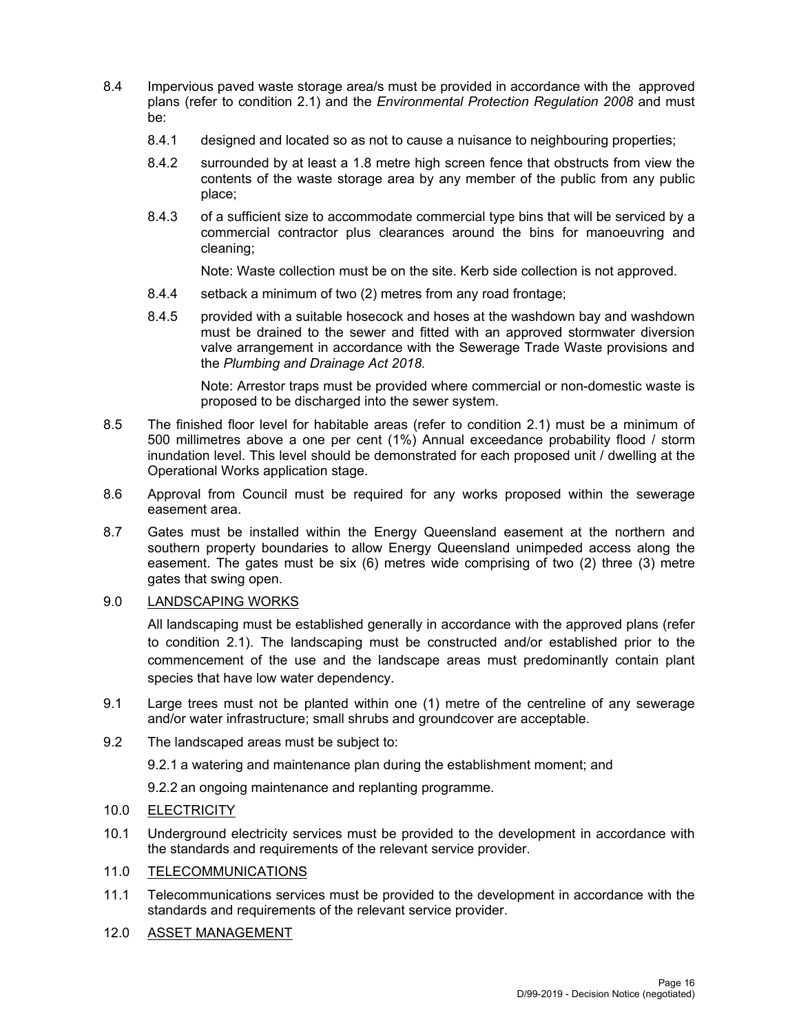- 8.4 Impervious paved waste storage area/s must be provided in accordance with the approved plans (refer to condition 2.1) and the *Environmental Protection Regulation 2008* and must be:
	- 8.4.1 designed and located so as not to cause a nuisance to neighbouring properties;
	- 8.4.2 surrounded by at least a 1.8 metre high screen fence that obstructs from view the contents of the waste storage area by any member of the public from any public place;
	- 8.4.3 of a sufficient size to accommodate commercial type bins that will be serviced by a commercial contractor plus clearances around the bins for manoeuvring and cleaning;

Note: Waste collection must be on the site. Kerb side collection is not approved.

- 8.4.4 setback a minimum of two (2) metres from any road frontage;
- 8.4.5 provided with a suitable hosecock and hoses at the washdown bay and washdown must be drained to the sewer and fitted with an approved stormwater diversion valve arrangement in accordance with the Sewerage Trade Waste provisions and the *Plumbing and Drainage Act 2018.*

Note: Arrestor traps must be provided where commercial or non-domestic waste is proposed to be discharged into the sewer system.

- 8.5 The finished floor level for habitable areas (refer to condition 2.1) must be a minimum of 500 millimetres above a one per cent (1%) Annual exceedance probability flood / storm inundation level. This level should be demonstrated for each proposed unit / dwelling at the Operational Works application stage.
- 8.6 Approval from Council must be required for any works proposed within the sewerage easement area.
- 8.7 Gates must be installed within the Energy Queensland easement at the northern and southern property boundaries to allow Energy Queensland unimpeded access along the easement. The gates must be six (6) metres wide comprising of two (2) three (3) metre gates that swing open.

#### 9.0 LANDSCAPING WORKS

All landscaping must be established generally in accordance with the approved plans (refer to condition 2.1). The landscaping must be constructed and/or established prior to the commencement of the use and the landscape areas must predominantly contain plant species that have low water dependency.

- 9.1 Large trees must not be planted within one (1) metre of the centreline of any sewerage and/or water infrastructure; small shrubs and groundcover are acceptable.
- 9.2 The landscaped areas must be subject to:

9.2.1 a watering and maintenance plan during the establishment moment; and

9.2.2 an ongoing maintenance and replanting programme.

- 10.0 ELECTRICITY
- 10.1 Underground electricity services must be provided to the development in accordance with the standards and requirements of the relevant service provider.

#### 11.0 TELECOMMUNICATIONS

- 11.1 Telecommunications services must be provided to the development in accordance with the standards and requirements of the relevant service provider.
- 12.0 ASSET MANAGEMENT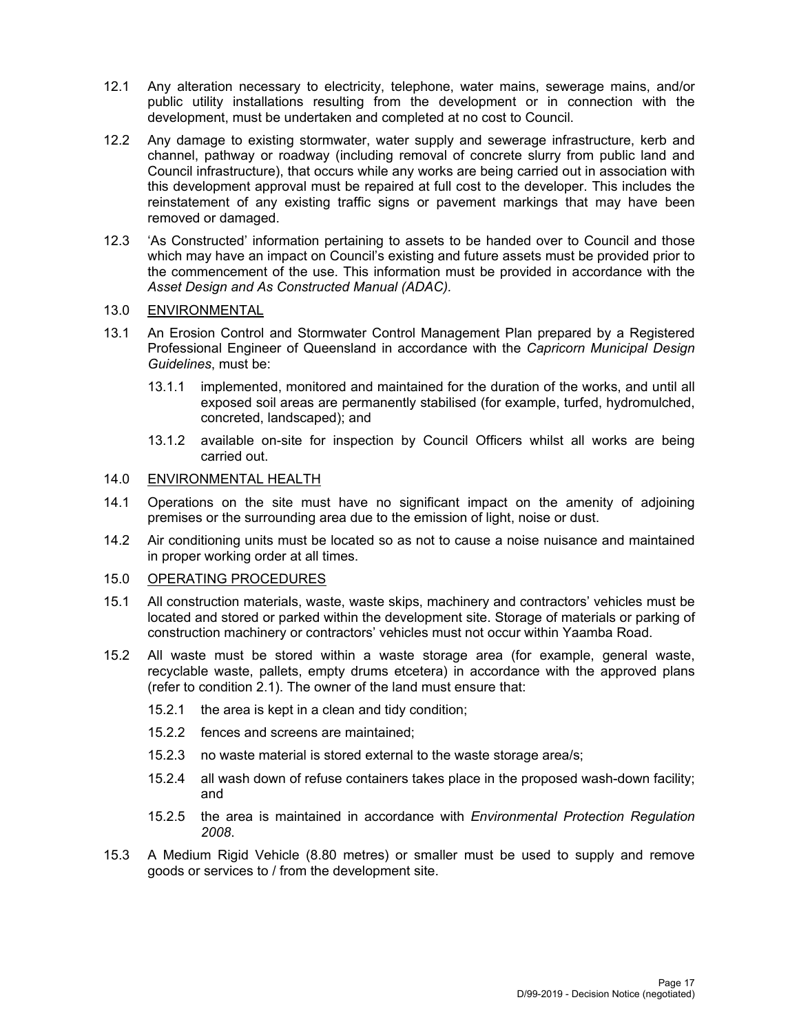- 12.1 Any alteration necessary to electricity, telephone, water mains, sewerage mains, and/or public utility installations resulting from the development or in connection with the development, must be undertaken and completed at no cost to Council.
- 12.2 Any damage to existing stormwater, water supply and sewerage infrastructure, kerb and channel, pathway or roadway (including removal of concrete slurry from public land and Council infrastructure), that occurs while any works are being carried out in association with this development approval must be repaired at full cost to the developer. This includes the reinstatement of any existing traffic signs or pavement markings that may have been removed or damaged.
- 12.3 'As Constructed' information pertaining to assets to be handed over to Council and those which may have an impact on Council's existing and future assets must be provided prior to the commencement of the use. This information must be provided in accordance with the *Asset Design and As Constructed Manual (ADAC).*

#### 13.0 ENVIRONMENTAL

- 13.1 An Erosion Control and Stormwater Control Management Plan prepared by a Registered Professional Engineer of Queensland in accordance with the *Capricorn Municipal Design Guidelines*, must be:
	- 13.1.1 implemented, monitored and maintained for the duration of the works, and until all exposed soil areas are permanently stabilised (for example, turfed, hydromulched, concreted, landscaped); and
	- 13.1.2 available on-site for inspection by Council Officers whilst all works are being carried out.

#### 14.0 ENVIRONMENTAL HEALTH

- 14.1 Operations on the site must have no significant impact on the amenity of adjoining premises or the surrounding area due to the emission of light, noise or dust.
- 14.2 Air conditioning units must be located so as not to cause a noise nuisance and maintained in proper working order at all times.

#### 15.0 OPERATING PROCEDURES

- 15.1 All construction materials, waste, waste skips, machinery and contractors' vehicles must be located and stored or parked within the development site. Storage of materials or parking of construction machinery or contractors' vehicles must not occur within Yaamba Road.
- 15.2 All waste must be stored within a waste storage area (for example, general waste, recyclable waste, pallets, empty drums etcetera) in accordance with the approved plans (refer to condition 2.1). The owner of the land must ensure that:
	- 15.2.1 the area is kept in a clean and tidy condition;
	- 15.2.2 fences and screens are maintained;
	- 15.2.3 no waste material is stored external to the waste storage area/s;
	- 15.2.4 all wash down of refuse containers takes place in the proposed wash-down facility; and
	- 15.2.5 the area is maintained in accordance with *Environmental Protection Regulation 2008*.
- 15.3 A Medium Rigid Vehicle (8.80 metres) or smaller must be used to supply and remove goods or services to / from the development site.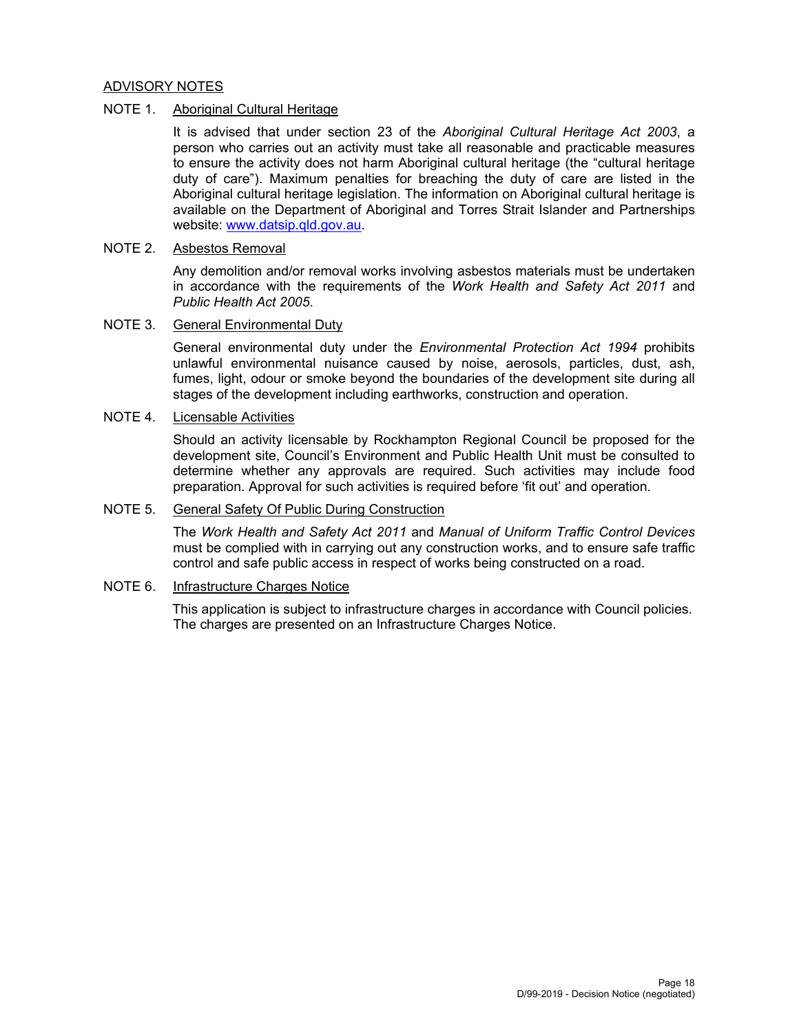#### ADVISORY NOTES

## NOTE 1. Aboriginal Cultural Heritage

It is advised that under section 23 of the *Aboriginal Cultural Heritage Act 2003*, a person who carries out an activity must take all reasonable and practicable measures to ensure the activity does not harm Aboriginal cultural heritage (the "cultural heritage duty of care"). Maximum penalties for breaching the duty of care are listed in the Aboriginal cultural heritage legislation. The information on Aboriginal cultural heritage is available on the Department of Aboriginal and Torres Strait Islander and Partnerships website: www.datsip.qld.gov.au.

#### NOTE 2. Asbestos Removal

Any demolition and/or removal works involving asbestos materials must be undertaken in accordance with the requirements of the *Work Health and Safety Act 2011* and *Public Health Act 2005*.

#### NOTE 3. General Environmental Duty

General environmental duty under the *Environmental Protection Act 1994* prohibits unlawful environmental nuisance caused by noise, aerosols, particles, dust, ash, fumes, light, odour or smoke beyond the boundaries of the development site during all stages of the development including earthworks, construction and operation.

#### NOTE 4. Licensable Activities

Should an activity licensable by Rockhampton Regional Council be proposed for the development site, Council's Environment and Public Health Unit must be consulted to determine whether any approvals are required. Such activities may include food preparation. Approval for such activities is required before 'fit out' and operation.

#### NOTE 5. General Safety Of Public During Construction

The *Work Health and Safety Act 2011* and *Manual of Uniform Traffic Control Devices* must be complied with in carrying out any construction works, and to ensure safe traffic control and safe public access in respect of works being constructed on a road.

#### NOTE 6. Infrastructure Charges Notice

This application is subject to infrastructure charges in accordance with Council policies. The charges are presented on an Infrastructure Charges Notice.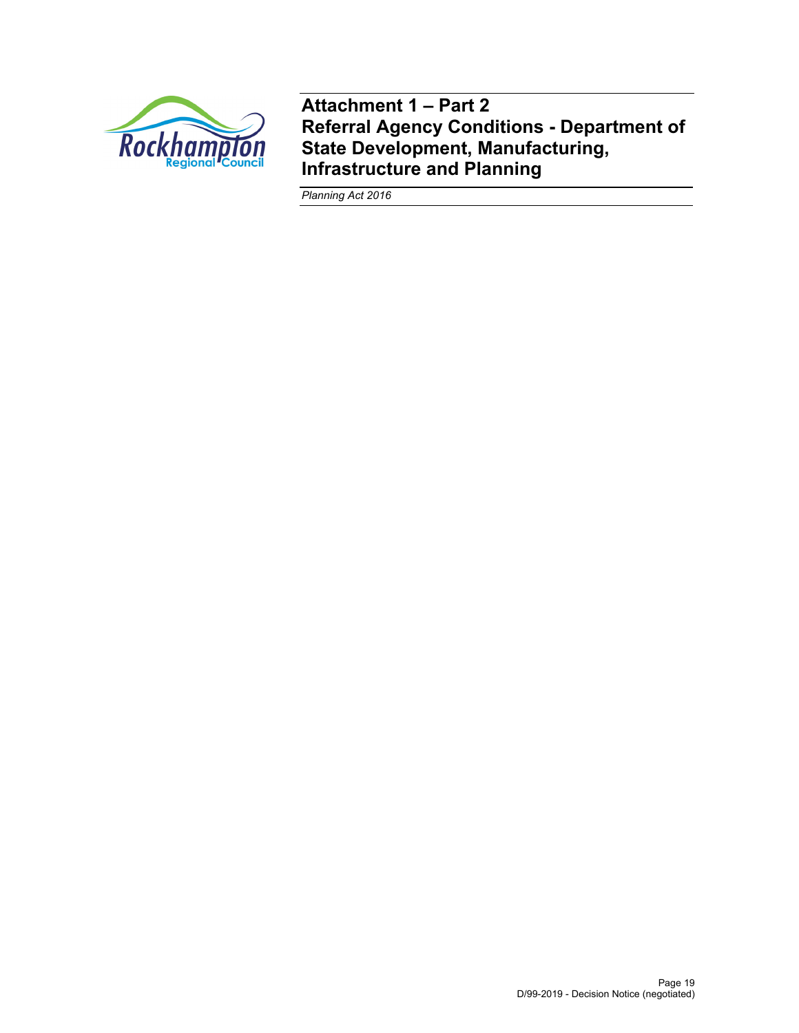

**Attachment 1 – Part 2 Referral Agency Conditions - Department of State Development, Manufacturing, Infrastructure and Planning** 

*Planning Act 2016*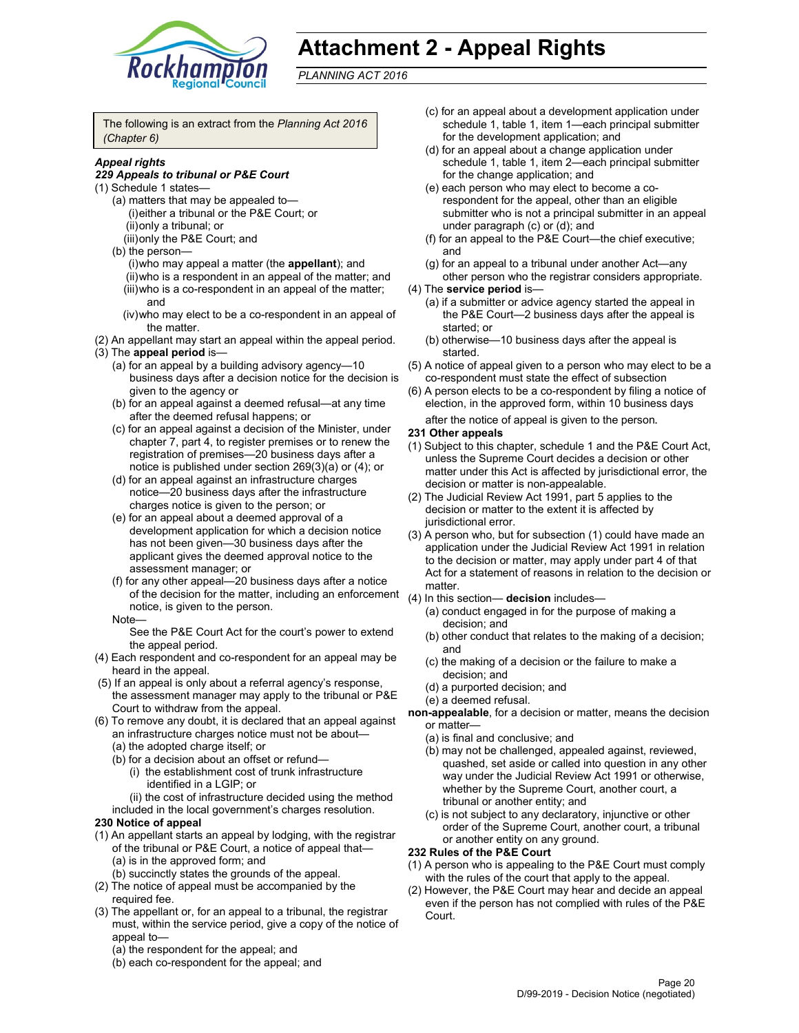

# **Attachment 2 - Appeal Rights**

*PLANNING ACT 2016*

The following is an extract from the *Planning Act 2016 (Chapter 6)*

#### *Appeal rights*

#### *229 Appeals to tribunal or P&E Court*

- (1) Schedule 1 states—
	- (a) matters that may be appealed to— (i) either a tribunal or the P&E Court; or (ii) only a tribunal; or
	- (iii) only the P&E Court; and
	- (b) the person—
		- (i) who may appeal a matter (the **appellant**); and
		- (ii) who is a respondent in an appeal of the matter; and (iii) who is a co-respondent in an appeal of the matter; and
		- (iv) who may elect to be a co-respondent in an appeal of the matter.
- (2) An appellant may start an appeal within the appeal period. (3) The **appeal period** is—
	- (a) for an appeal by a building advisory agency—10 business days after a decision notice for the decision is
	- given to the agency or (b) for an appeal against a deemed refusal—at any time after the deemed refusal happens; or
	- (c) for an appeal against a decision of the Minister, under chapter 7, part 4, to register premises or to renew the registration of premises—20 business days after a notice is published under section 269(3)(a) or (4); or
	- (d) for an appeal against an infrastructure charges notice—20 business days after the infrastructure charges notice is given to the person; or
	- (e) for an appeal about a deemed approval of a development application for which a decision notice has not been given—30 business days after the applicant gives the deemed approval notice to the assessment manager; or
	- (f) for any other appeal—20 business days after a notice of the decision for the matter, including an enforcement (4) In this section— **decision** includes notice, is given to the person.

#### Note—

See the P&E Court Act for the court's power to extend the appeal period.

- (4) Each respondent and co-respondent for an appeal may be heard in the appeal.
- (5) If an appeal is only about a referral agency's response, the assessment manager may apply to the tribunal or P&E Court to withdraw from the appeal.
- (6) To remove any doubt, it is declared that an appeal against an infrastructure charges notice must not be about— (a) the adopted charge itself; or
	- (b) for a decision about an offset or refund—
		- (i) the establishment cost of trunk infrastructure identified in a LGIP; or
		- (ii) the cost of infrastructure decided using the method
	- included in the local government's charges resolution.

#### **230 Notice of appeal**

- (1) An appellant starts an appeal by lodging, with the registrar of the tribunal or P&E Court, a notice of appeal that— (a) is in the approved form; and
	- (b) succinctly states the grounds of the appeal.
- (2) The notice of appeal must be accompanied by the required fee.
- (3) The appellant or, for an appeal to a tribunal, the registrar must, within the service period, give a copy of the notice of appeal to—
	- (a) the respondent for the appeal; and
	- (b) each co-respondent for the appeal; and
- (c) for an appeal about a development application under schedule 1, table 1, item 1—each principal submitter for the development application; and
- (d) for an appeal about a change application under schedule 1, table 1, item 2—each principal submitter for the change application; and
- (e) each person who may elect to become a corespondent for the appeal, other than an eligible submitter who is not a principal submitter in an appeal under paragraph (c) or (d); and
- (f) for an appeal to the P&E Court—the chief executive; and
- (g) for an appeal to a tribunal under another Act—any other person who the registrar considers appropriate.
- (4) The **service period** is—
	- (a) if a submitter or advice agency started the appeal in the P&E Court—2 business days after the appeal is started; or
	- (b) otherwise—10 business days after the appeal is started.
- (5) A notice of appeal given to a person who may elect to be a co-respondent must state the effect of subsection
- (6) A person elects to be a co-respondent by filing a notice of election, in the approved form, within 10 business days after the notice of appeal is given to the person*.*

#### **231 Other appeals**

- (1) Subject to this chapter, schedule 1 and the P&E Court Act, unless the Supreme Court decides a decision or other matter under this Act is affected by jurisdictional error, the decision or matter is non-appealable.
- (2) The Judicial Review Act 1991, part 5 applies to the decision or matter to the extent it is affected by jurisdictional error.
- (3) A person who, but for subsection (1) could have made an application under the Judicial Review Act 1991 in relation to the decision or matter, may apply under part 4 of that Act for a statement of reasons in relation to the decision or matter.
- - (a) conduct engaged in for the purpose of making a decision; and
	- (b) other conduct that relates to the making of a decision; and
	- (c) the making of a decision or the failure to make a decision; and
	- (d) a purported decision; and
	- (e) a deemed refusal.
- **non-appealable**, for a decision or matter, means the decision or matter—
	- (a) is final and conclusive; and
	- (b) may not be challenged, appealed against, reviewed, quashed, set aside or called into question in any other way under the Judicial Review Act 1991 or otherwise, whether by the Supreme Court, another court, a tribunal or another entity; and
	- (c) is not subject to any declaratory, injunctive or other order of the Supreme Court, another court, a tribunal or another entity on any ground.

#### **232 Rules of the P&E Court**

- (1) A person who is appealing to the P&E Court must comply with the rules of the court that apply to the appeal.
- (2) However, the P&E Court may hear and decide an appeal even if the person has not complied with rules of the P&E Court.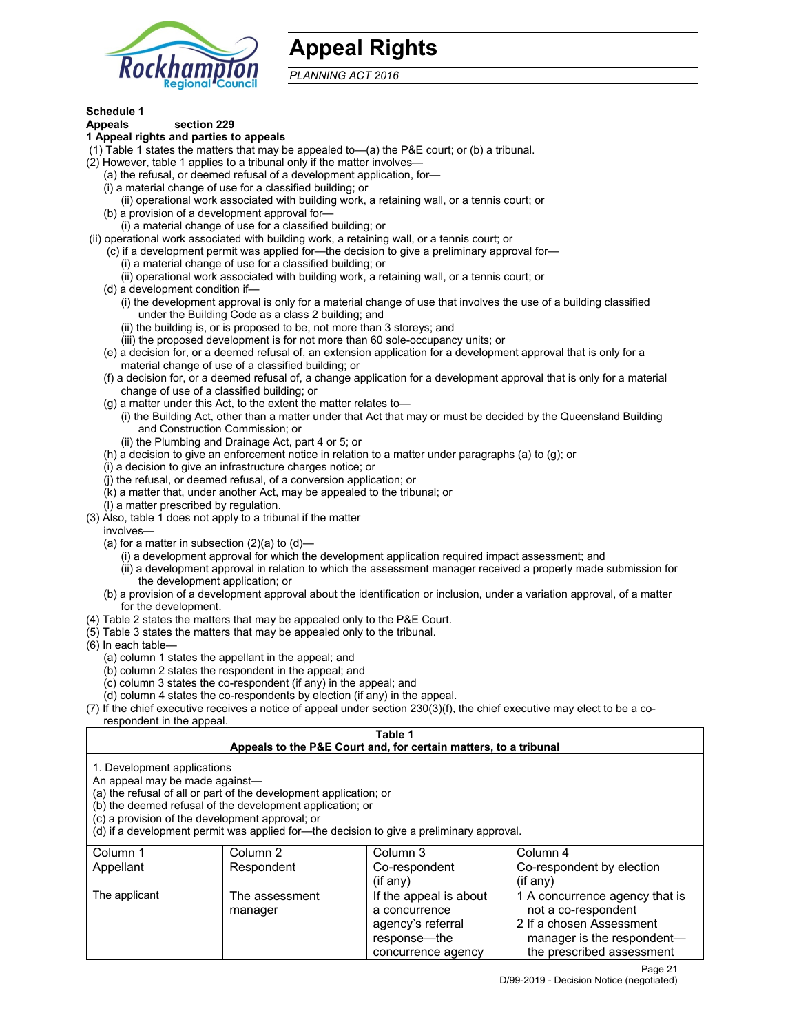

# **Appeal Rights**

*PLANNING ACT 2016*

# **Schedule 1**

#### **Appeals section 229 1 Appeal rights and parties to appeals**

- (1) Table 1 states the matters that may be appealed to—(a) the P&E court; or (b) a tribunal.
- (2) However, table 1 applies to a tribunal only if the matter involves—
	- (a) the refusal, or deemed refusal of a development application, for—
	- (i) a material change of use for a classified building; or
	- (ii) operational work associated with building work, a retaining wall, or a tennis court; or
	- (b) a provision of a development approval for—
	- (i) a material change of use for a classified building; or
- (ii) operational work associated with building work, a retaining wall, or a tennis court; or
	- (c) if a development permit was applied for—the decision to give a preliminary approval for—
		- (i) a material change of use for a classified building; or
		- (ii) operational work associated with building work, a retaining wall, or a tennis court; or
	- (d) a development condition if—
		- (i) the development approval is only for a material change of use that involves the use of a building classified under the Building Code as a class 2 building; and
		- (ii) the building is, or is proposed to be, not more than 3 storeys; and
		- (iii) the proposed development is for not more than 60 sole-occupancy units; or
	- (e) a decision for, or a deemed refusal of, an extension application for a development approval that is only for a material change of use of a classified building; or
	- (f) a decision for, or a deemed refusal of, a change application for a development approval that is only for a material change of use of a classified building; or
	- (g) a matter under this Act, to the extent the matter relates to—
		- (i) the Building Act, other than a matter under that Act that may or must be decided by the Queensland Building and Construction Commission; or
		- (ii) the Plumbing and Drainage Act, part 4 or 5; or
	- (h) a decision to give an enforcement notice in relation to a matter under paragraphs (a) to (g); or
	- (i) a decision to give an infrastructure charges notice; or
	- (j) the refusal, or deemed refusal, of a conversion application; or
	- (k) a matter that, under another Act, may be appealed to the tribunal; or
	- (l) a matter prescribed by regulation.
- (3) Also, table 1 does not apply to a tribunal if the matter
- involves—
	- (a) for a matter in subsection  $(2)(a)$  to  $(d)$ 
		- (i) a development approval for which the development application required impact assessment; and
		- (ii) a development approval in relation to which the assessment manager received a properly made submission for the development application; or
	- (b) a provision of a development approval about the identification or inclusion, under a variation approval, of a matter for the development.
- (4) Table 2 states the matters that may be appealed only to the P&E Court.
- (5) Table 3 states the matters that may be appealed only to the tribunal.
- (6) In each table—
	- (a) column 1 states the appellant in the appeal; and
	- (b) column 2 states the respondent in the appeal; and
	- (c) column 3 states the co-respondent (if any) in the appeal; and
	- (d) column 4 states the co-respondents by election (if any) in the appeal.
- (7) If the chief executive receives a notice of appeal under section 230(3)(f), the chief executive may elect to be a corespondent in the appeal.

#### **Table 1**

#### **Appeals to the P&E Court and, for certain matters, to a tribunal**

1. Development applications

An appeal may be made against—

(a) the refusal of all or part of the development application; or

(b) the deemed refusal of the development application; or

(c) a provision of the development approval; or

(d) if a development permit was applied for—the decision to give a preliminary approval.

| Column 1      | Column 2                  | Column 3                                                                                           | Column 4                                                                                                                                     |
|---------------|---------------------------|----------------------------------------------------------------------------------------------------|----------------------------------------------------------------------------------------------------------------------------------------------|
| Appellant     | Respondent                | Co-respondent                                                                                      | Co-respondent by election                                                                                                                    |
|               |                           | (if any)                                                                                           | $(if$ any)                                                                                                                                   |
| The applicant | The assessment<br>manager | If the appeal is about<br>a concurrence<br>agency's referral<br>response—the<br>concurrence agency | 1 A concurrence agency that is<br>not a co-respondent<br>2 If a chosen Assessment<br>manager is the respondent-<br>the prescribed assessment |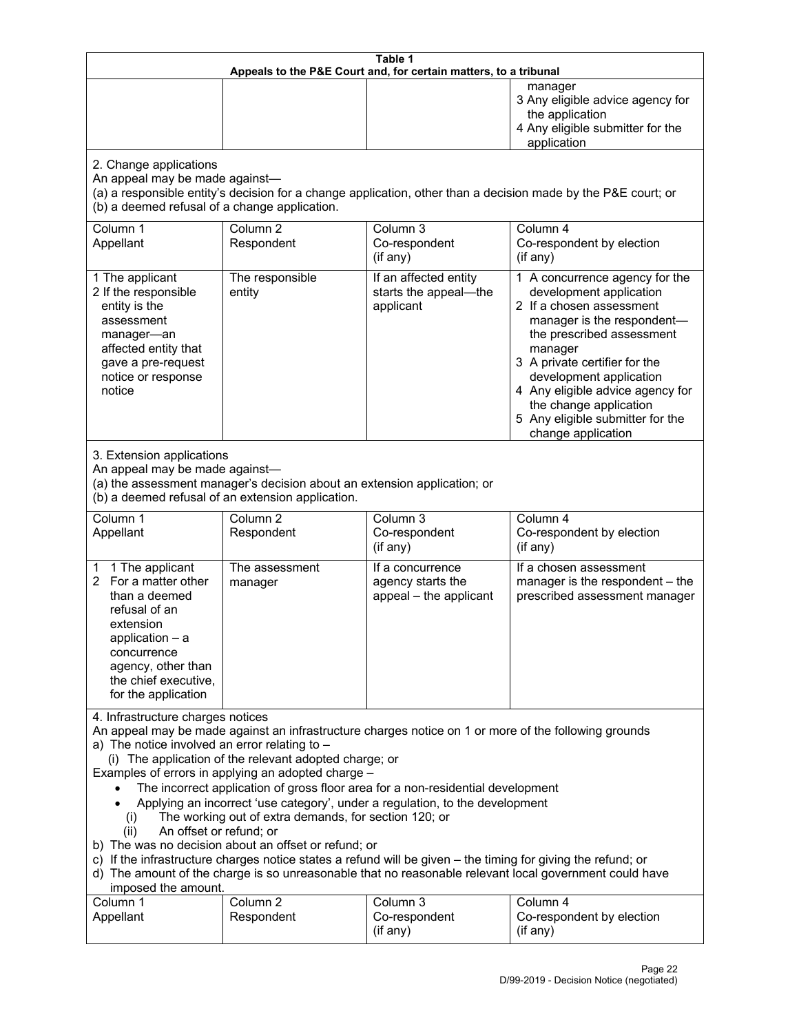| Table 1<br>Appeals to the P&E Court and, for certain matters, to a tribunal                                                                                                                                                                                                                                                                                                                                                                                                                                                                                                                                                                                                                                                                                                                                                                                                                           |                                                                                                                               |                                                                 |                                                                                                                                                                                                                                                                                                                                                 |  |
|-------------------------------------------------------------------------------------------------------------------------------------------------------------------------------------------------------------------------------------------------------------------------------------------------------------------------------------------------------------------------------------------------------------------------------------------------------------------------------------------------------------------------------------------------------------------------------------------------------------------------------------------------------------------------------------------------------------------------------------------------------------------------------------------------------------------------------------------------------------------------------------------------------|-------------------------------------------------------------------------------------------------------------------------------|-----------------------------------------------------------------|-------------------------------------------------------------------------------------------------------------------------------------------------------------------------------------------------------------------------------------------------------------------------------------------------------------------------------------------------|--|
|                                                                                                                                                                                                                                                                                                                                                                                                                                                                                                                                                                                                                                                                                                                                                                                                                                                                                                       |                                                                                                                               |                                                                 | manager<br>3 Any eligible advice agency for<br>the application<br>4 Any eligible submitter for the<br>application                                                                                                                                                                                                                               |  |
| 2. Change applications<br>An appeal may be made against-<br>(b) a deemed refusal of a change application.                                                                                                                                                                                                                                                                                                                                                                                                                                                                                                                                                                                                                                                                                                                                                                                             |                                                                                                                               |                                                                 | (a) a responsible entity's decision for a change application, other than a decision made by the P&E court; or                                                                                                                                                                                                                                   |  |
| Column 1<br>Appellant                                                                                                                                                                                                                                                                                                                                                                                                                                                                                                                                                                                                                                                                                                                                                                                                                                                                                 | Column <sub>2</sub><br>Respondent                                                                                             | Column 3<br>Co-respondent<br>(if any)                           | Column 4<br>Co-respondent by election<br>(if any)                                                                                                                                                                                                                                                                                               |  |
| 1 The applicant<br>2 If the responsible<br>entity is the<br>assessment<br>manager-an<br>affected entity that<br>gave a pre-request<br>notice or response<br>notice                                                                                                                                                                                                                                                                                                                                                                                                                                                                                                                                                                                                                                                                                                                                    | The responsible<br>entity                                                                                                     | If an affected entity<br>starts the appeal-the<br>applicant     | 1 A concurrence agency for the<br>development application<br>2 If a chosen assessment<br>manager is the respondent-<br>the prescribed assessment<br>manager<br>3 A private certifier for the<br>development application<br>4 Any eligible advice agency for<br>the change application<br>5 Any eligible submitter for the<br>change application |  |
| 3. Extension applications<br>An appeal may be made against-                                                                                                                                                                                                                                                                                                                                                                                                                                                                                                                                                                                                                                                                                                                                                                                                                                           | (a) the assessment manager's decision about an extension application; or<br>(b) a deemed refusal of an extension application. |                                                                 |                                                                                                                                                                                                                                                                                                                                                 |  |
| Column 1<br>Appellant                                                                                                                                                                                                                                                                                                                                                                                                                                                                                                                                                                                                                                                                                                                                                                                                                                                                                 | Column <sub>2</sub><br>Respondent                                                                                             | Column 3<br>Co-respondent<br>(if any)                           | Column 4<br>Co-respondent by election<br>(if any)                                                                                                                                                                                                                                                                                               |  |
| 1 The applicant<br>1.<br>2 For a matter other<br>than a deemed<br>refusal of an<br>extension<br>application $-$ a<br>concurrence<br>agency, other than<br>the chief executive,<br>for the application                                                                                                                                                                                                                                                                                                                                                                                                                                                                                                                                                                                                                                                                                                 | The assessment<br>manager                                                                                                     | If a concurrence<br>agency starts the<br>appeal - the applicant | If a chosen assessment<br>manager is the respondent - the<br>prescribed assessment manager                                                                                                                                                                                                                                                      |  |
| 4. Infrastructure charges notices<br>An appeal may be made against an infrastructure charges notice on 1 or more of the following grounds<br>a) The notice involved an error relating to -<br>(i) The application of the relevant adopted charge; or<br>Examples of errors in applying an adopted charge -<br>The incorrect application of gross floor area for a non-residential development<br>Applying an incorrect 'use category', under a regulation, to the development<br>The working out of extra demands, for section 120; or<br>(i)<br>An offset or refund; or<br>(ii)<br>b) The was no decision about an offset or refund; or<br>c) If the infrastructure charges notice states a refund will be given - the timing for giving the refund; or<br>d) The amount of the charge is so unreasonable that no reasonable relevant local government could have<br>imposed the amount.<br>Column 3 |                                                                                                                               |                                                                 |                                                                                                                                                                                                                                                                                                                                                 |  |
| Column 1<br>Appellant                                                                                                                                                                                                                                                                                                                                                                                                                                                                                                                                                                                                                                                                                                                                                                                                                                                                                 | Column <sub>2</sub><br>Respondent                                                                                             | Co-respondent<br>(if any)                                       | Column 4<br>Co-respondent by election<br>(if any)                                                                                                                                                                                                                                                                                               |  |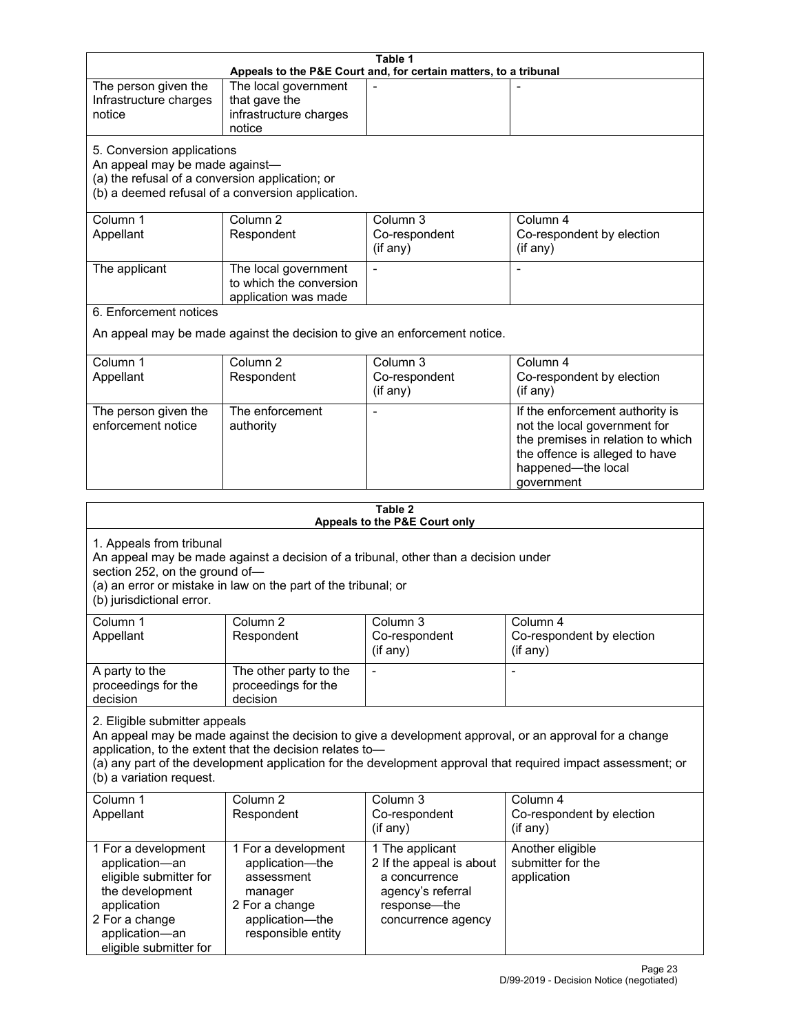| Table 1<br>Appeals to the P&E Court and, for certain matters, to a tribunal                                                                                                                                                                                                                                                                     |                                                                                                                            |                                                                                                                         |                                                                                                                                                                            |  |
|-------------------------------------------------------------------------------------------------------------------------------------------------------------------------------------------------------------------------------------------------------------------------------------------------------------------------------------------------|----------------------------------------------------------------------------------------------------------------------------|-------------------------------------------------------------------------------------------------------------------------|----------------------------------------------------------------------------------------------------------------------------------------------------------------------------|--|
| The person given the<br>Infrastructure charges<br>notice                                                                                                                                                                                                                                                                                        | The local government<br>that gave the<br>infrastructure charges<br>notice                                                  |                                                                                                                         |                                                                                                                                                                            |  |
| 5. Conversion applications<br>An appeal may be made against-<br>(a) the refusal of a conversion application; or                                                                                                                                                                                                                                 | (b) a deemed refusal of a conversion application.                                                                          |                                                                                                                         |                                                                                                                                                                            |  |
| Column 1<br>Appellant                                                                                                                                                                                                                                                                                                                           | Column <sub>2</sub><br>Respondent                                                                                          | Column 3<br>Co-respondent<br>(if any)                                                                                   | Column 4<br>Co-respondent by election<br>(if any)                                                                                                                          |  |
| The applicant                                                                                                                                                                                                                                                                                                                                   | The local government<br>to which the conversion<br>application was made                                                    | $\blacksquare$                                                                                                          |                                                                                                                                                                            |  |
| 6. Enforcement notices                                                                                                                                                                                                                                                                                                                          |                                                                                                                            | An appeal may be made against the decision to give an enforcement notice.                                               |                                                                                                                                                                            |  |
| Column 1<br>Appellant                                                                                                                                                                                                                                                                                                                           | Column <sub>2</sub><br>Respondent                                                                                          | Column 3<br>Co-respondent<br>(if any)                                                                                   | Column 4<br>Co-respondent by election<br>(if any)                                                                                                                          |  |
| The person given the<br>enforcement notice                                                                                                                                                                                                                                                                                                      | The enforcement<br>authority                                                                                               |                                                                                                                         | If the enforcement authority is<br>not the local government for<br>the premises in relation to which<br>the offence is alleged to have<br>happened-the local<br>government |  |
|                                                                                                                                                                                                                                                                                                                                                 |                                                                                                                            | Table 2<br>Appeals to the P&E Court only                                                                                |                                                                                                                                                                            |  |
| 1. Appeals from tribunal<br>section 252, on the ground of-<br>(b) jurisdictional error.                                                                                                                                                                                                                                                         | (a) an error or mistake in law on the part of the tribunal; or                                                             | An appeal may be made against a decision of a tribunal, other than a decision under                                     |                                                                                                                                                                            |  |
| Column 1<br>Appellant                                                                                                                                                                                                                                                                                                                           | Column <sub>2</sub><br>Respondent                                                                                          | Column 3<br>Co-respondent<br>(if any)                                                                                   | Column 4<br>Co-respondent by election<br>$($ if any $)$                                                                                                                    |  |
| A party to the<br>proceedings for the<br>decision                                                                                                                                                                                                                                                                                               | The other party to the<br>proceedings for the<br>decision                                                                  | $\overline{\phantom{a}}$                                                                                                |                                                                                                                                                                            |  |
| 2. Eligible submitter appeals<br>An appeal may be made against the decision to give a development approval, or an approval for a change<br>application, to the extent that the decision relates to-<br>(a) any part of the development application for the development approval that required impact assessment; or<br>(b) a variation request. |                                                                                                                            |                                                                                                                         |                                                                                                                                                                            |  |
| Column 1<br>Appellant                                                                                                                                                                                                                                                                                                                           | Column <sub>2</sub><br>Respondent                                                                                          | Column 3<br>Co-respondent<br>(if any)                                                                                   | Column 4<br>Co-respondent by election<br>(if any)                                                                                                                          |  |
| 1 For a development<br>application-an<br>eligible submitter for<br>the development<br>application<br>2 For a change<br>application-an<br>eligible submitter for                                                                                                                                                                                 | 1 For a development<br>application-the<br>assessment<br>manager<br>2 For a change<br>application-the<br>responsible entity | 1 The applicant<br>2 If the appeal is about<br>a concurrence<br>agency's referral<br>response-the<br>concurrence agency | Another eligible<br>submitter for the<br>application                                                                                                                       |  |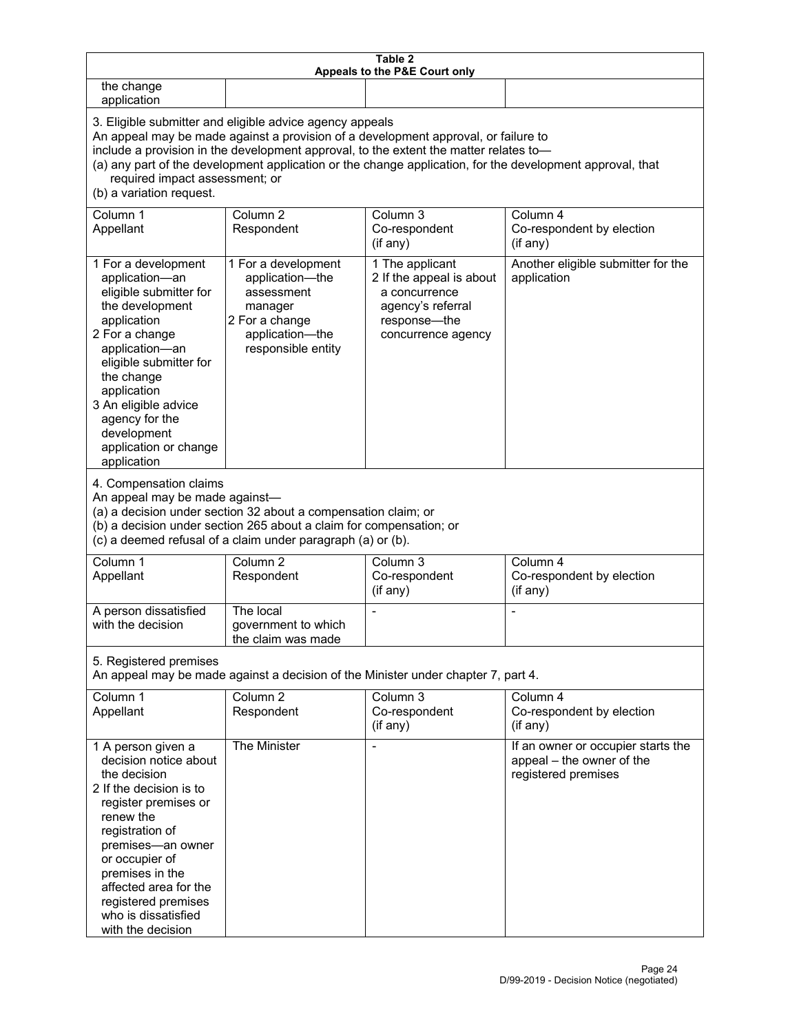| Table 2<br>Appeals to the P&E Court only                                                                                                                                                                                                                                                             |                                                                                                                                                                                                                                                                                                                                                                                        |                                                                                                                         |                                                                                        |  |  |  |
|------------------------------------------------------------------------------------------------------------------------------------------------------------------------------------------------------------------------------------------------------------------------------------------------------|----------------------------------------------------------------------------------------------------------------------------------------------------------------------------------------------------------------------------------------------------------------------------------------------------------------------------------------------------------------------------------------|-------------------------------------------------------------------------------------------------------------------------|----------------------------------------------------------------------------------------|--|--|--|
| the change<br>application                                                                                                                                                                                                                                                                            |                                                                                                                                                                                                                                                                                                                                                                                        |                                                                                                                         |                                                                                        |  |  |  |
| (b) a variation request.                                                                                                                                                                                                                                                                             | 3. Eligible submitter and eligible advice agency appeals<br>An appeal may be made against a provision of a development approval, or failure to<br>include a provision in the development approval, to the extent the matter relates to-<br>(a) any part of the development application or the change application, for the development approval, that<br>required impact assessment; or |                                                                                                                         |                                                                                        |  |  |  |
| Column 1<br>Appellant                                                                                                                                                                                                                                                                                | Column <sub>2</sub><br>Respondent                                                                                                                                                                                                                                                                                                                                                      | Column 3<br>Co-respondent<br>(if any)                                                                                   | Column 4<br>Co-respondent by election<br>(if any)                                      |  |  |  |
| 1 For a development<br>application-an<br>eligible submitter for<br>the development<br>application<br>2 For a change<br>application-an<br>eligible submitter for<br>the change<br>application<br>3 An eligible advice<br>agency for the<br>development<br>application or change<br>application        | 1 For a development<br>application-the<br>assessment<br>manager<br>2 For a change<br>application-the<br>responsible entity                                                                                                                                                                                                                                                             | 1 The applicant<br>2 If the appeal is about<br>a concurrence<br>agency's referral<br>response-the<br>concurrence agency | Another eligible submitter for the<br>application                                      |  |  |  |
| 4. Compensation claims<br>An appeal may be made against-                                                                                                                                                                                                                                             | (a) a decision under section 32 about a compensation claim; or<br>(b) a decision under section 265 about a claim for compensation; or<br>(c) a deemed refusal of a claim under paragraph (a) or (b).                                                                                                                                                                                   |                                                                                                                         |                                                                                        |  |  |  |
| Column 1<br>Appellant                                                                                                                                                                                                                                                                                | Column <sub>2</sub><br>Respondent                                                                                                                                                                                                                                                                                                                                                      | Column 3<br>Co-respondent<br>(if any)                                                                                   | Column 4<br>Co-respondent by election<br>(if any)                                      |  |  |  |
| A person dissatisfied<br>with the decision                                                                                                                                                                                                                                                           | The local<br>government to which<br>the claim was made                                                                                                                                                                                                                                                                                                                                 |                                                                                                                         |                                                                                        |  |  |  |
| 5. Registered premises                                                                                                                                                                                                                                                                               |                                                                                                                                                                                                                                                                                                                                                                                        | An appeal may be made against a decision of the Minister under chapter 7, part 4.                                       |                                                                                        |  |  |  |
| Column 1<br>Appellant                                                                                                                                                                                                                                                                                | Column <sub>2</sub><br>Respondent                                                                                                                                                                                                                                                                                                                                                      | Column 3<br>Co-respondent<br>(if any)                                                                                   | Column 4<br>Co-respondent by election<br>(if any)                                      |  |  |  |
| 1 A person given a<br>decision notice about<br>the decision<br>2 If the decision is to<br>register premises or<br>renew the<br>registration of<br>premises-an owner<br>or occupier of<br>premises in the<br>affected area for the<br>registered premises<br>who is dissatisfied<br>with the decision | The Minister                                                                                                                                                                                                                                                                                                                                                                           | $\overline{a}$                                                                                                          | If an owner or occupier starts the<br>appeal - the owner of the<br>registered premises |  |  |  |